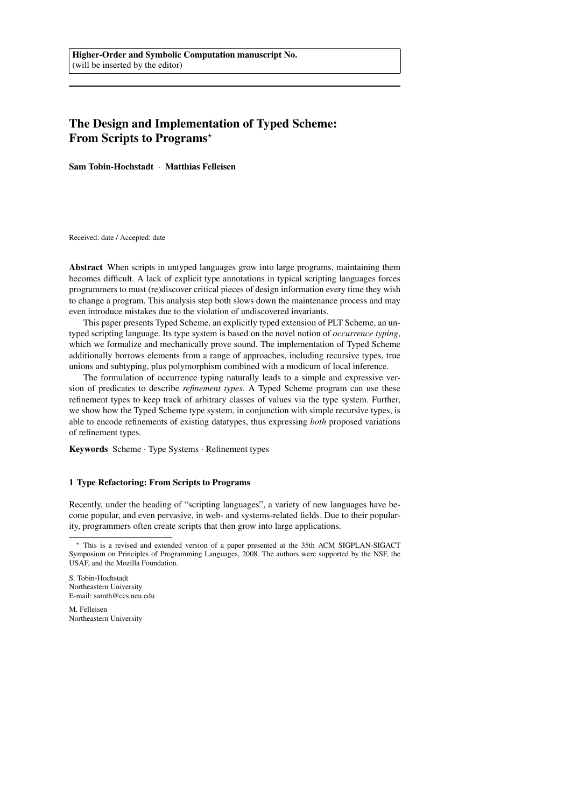# The Design and Implementation of Typed Scheme: From Scripts to Programs\*

Sam Tobin-Hochstadt · Matthias Felleisen

Received: date / Accepted: date

Abstract When scripts in untyped languages grow into large programs, maintaining them becomes difficult. A lack of explicit type annotations in typical scripting languages forces programmers to must (re)discover critical pieces of design information every time they wish to change a program. This analysis step both slows down the maintenance process and may even introduce mistakes due to the violation of undiscovered invariants.

This paper presents Typed Scheme, an explicitly typed extension of PLT Scheme, an untyped scripting language. Its type system is based on the novel notion of *occurrence typing*, which we formalize and mechanically prove sound. The implementation of Typed Scheme additionally borrows elements from a range of approaches, including recursive types, true unions and subtyping, plus polymorphism combined with a modicum of local inference.

The formulation of occurrence typing naturally leads to a simple and expressive version of predicates to describe *refinement types*. A Typed Scheme program can use these refinement types to keep track of arbitrary classes of values via the type system. Further, we show how the Typed Scheme type system, in conjunction with simple recursive types, is able to encode refinements of existing datatypes, thus expressing *both* proposed variations of refinement types.

Keywords Scheme · Type Systems · Refinement types

#### 1 Type Refactoring: From Scripts to Programs

Recently, under the heading of "scripting languages", a variety of new languages have become popular, and even pervasive, in web- and systems-related fields. Due to their popularity, programmers often create scripts that then grow into large applications.

M. Felleisen Northeastern University

<sup>?</sup> This is a revised and extended version of a paper presented at the 35th ACM SIGPLAN-SIGACT Symposium on Principles of Programming Languages, 2008. The authors were supported by the NSF, the USAF, and the Mozilla Foundation.

S. Tobin-Hochstadt Northeastern University E-mail: samth@ccs.neu.edu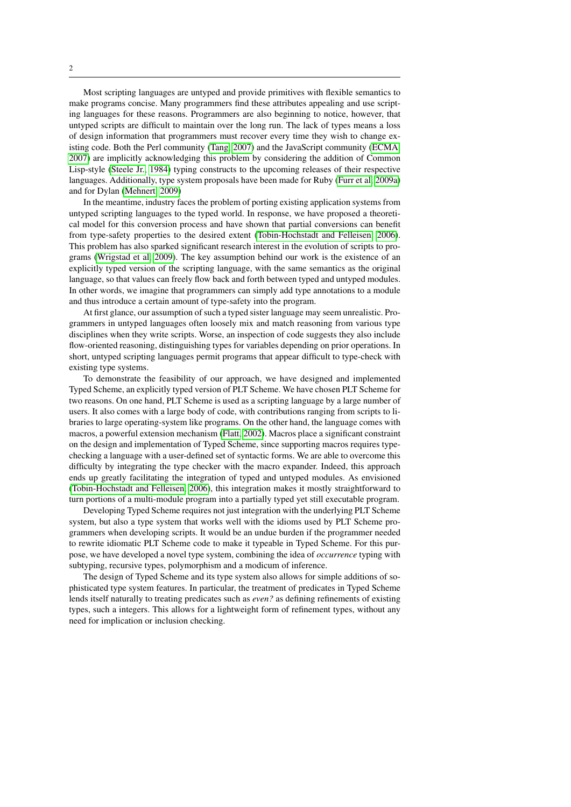Most scripting languages are untyped and provide primitives with flexible semantics to make programs concise. Many programmers find these attributes appealing and use scripting languages for these reasons. Programmers are also beginning to notice, however, that untyped scripts are difficult to maintain over the long run. The lack of types means a loss of design information that programmers must recover every time they wish to change existing code. Both the Perl community [\(Tang, 2007\)](#page-32-0) and the JavaScript community [\(ECMA,](#page-30-0) [2007\)](#page-30-0) are implicitly acknowledging this problem by considering the addition of Common Lisp-style [\(Steele Jr., 1984\)](#page-32-1) typing constructs to the upcoming releases of their respective languages. Additionally, type system proposals have been made for Ruby [\(Furr et al, 2009a\)](#page-31-0) and for Dylan [\(Mehnert, 2009\)](#page-31-1)

In the meantime, industry faces the problem of porting existing application systems from untyped scripting languages to the typed world. In response, we have proposed a theoretical model for this conversion process and have shown that partial conversions can benefit from type-safety properties to the desired extent [\(Tobin-Hochstadt and Felleisen, 2006\)](#page-32-2). This problem has also sparked significant research interest in the evolution of scripts to programs [\(Wrigstad et al, 2009\)](#page-33-0). The key assumption behind our work is the existence of an explicitly typed version of the scripting language, with the same semantics as the original language, so that values can freely flow back and forth between typed and untyped modules. In other words, we imagine that programmers can simply add type annotations to a module and thus introduce a certain amount of type-safety into the program.

At first glance, our assumption of such a typed sister language may seem unrealistic. Programmers in untyped languages often loosely mix and match reasoning from various type disciplines when they write scripts. Worse, an inspection of code suggests they also include flow-oriented reasoning, distinguishing types for variables depending on prior operations. In short, untyped scripting languages permit programs that appear difficult to type-check with existing type systems.

To demonstrate the feasibility of our approach, we have designed and implemented Typed Scheme, an explicitly typed version of PLT Scheme. We have chosen PLT Scheme for two reasons. On one hand, PLT Scheme is used as a scripting language by a large number of users. It also comes with a large body of code, with contributions ranging from scripts to libraries to large operating-system like programs. On the other hand, the language comes with macros, a powerful extension mechanism [\(Flatt, 2002\)](#page-30-1). Macros place a significant constraint on the design and implementation of Typed Scheme, since supporting macros requires typechecking a language with a user-defined set of syntactic forms. We are able to overcome this difficulty by integrating the type checker with the macro expander. Indeed, this approach ends up greatly facilitating the integration of typed and untyped modules. As envisioned [\(Tobin-Hochstadt and Felleisen, 2006\)](#page-32-2), this integration makes it mostly straightforward to turn portions of a multi-module program into a partially typed yet still executable program.

Developing Typed Scheme requires not just integration with the underlying PLT Scheme system, but also a type system that works well with the idioms used by PLT Scheme programmers when developing scripts. It would be an undue burden if the programmer needed to rewrite idiomatic PLT Scheme code to make it typeable in Typed Scheme. For this purpose, we have developed a novel type system, combining the idea of *occurrence* typing with subtyping, recursive types, polymorphism and a modicum of inference.

The design of Typed Scheme and its type system also allows for simple additions of sophisticated type system features. In particular, the treatment of predicates in Typed Scheme lends itself naturally to treating predicates such as *even?* as defining refinements of existing types, such a integers. This allows for a lightweight form of refinement types, without any need for implication or inclusion checking.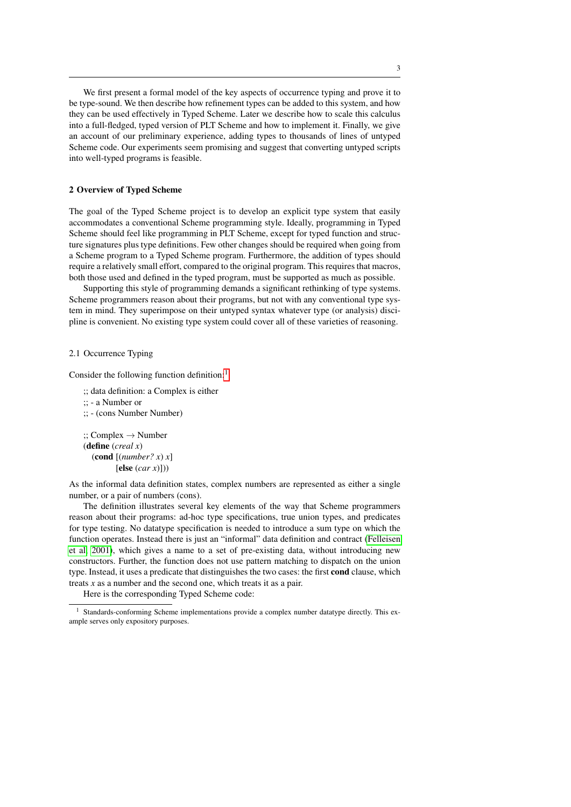We first present a formal model of the key aspects of occurrence typing and prove it to be type-sound. We then describe how refinement types can be added to this system, and how they can be used effectively in Typed Scheme. Later we describe how to scale this calculus into a full-fledged, typed version of PLT Scheme and how to implement it. Finally, we give an account of our preliminary experience, adding types to thousands of lines of untyped Scheme code. Our experiments seem promising and suggest that converting untyped scripts into well-typed programs is feasible.

#### <span id="page-2-1"></span>2 Overview of Typed Scheme

The goal of the Typed Scheme project is to develop an explicit type system that easily accommodates a conventional Scheme programming style. Ideally, programming in Typed Scheme should feel like programming in PLT Scheme, except for typed function and structure signatures plus type definitions. Few other changes should be required when going from a Scheme program to a Typed Scheme program. Furthermore, the addition of types should require a relatively small effort, compared to the original program. This requires that macros, both those used and defined in the typed program, must be supported as much as possible.

Supporting this style of programming demands a significant rethinking of type systems. Scheme programmers reason about their programs, but not with any conventional type system in mind. They superimpose on their untyped syntax whatever type (or analysis) discipline is convenient. No existing type system could cover all of these varieties of reasoning.

## 2.1 Occurrence Typing

Consider the following function definition:<sup>[1](#page-2-0)</sup>

;; data definition: a Complex is either ;; - a Number or ;; - (cons Number Number)

 $\cdot$ ; Complex  $\rightarrow$  Number (define (*creal x*)  $\left(\text{cond} \left[\text{(number? } x\right) x\right]$  $[else (car x)])$ 

As the informal data definition states, complex numbers are represented as either a single number, or a pair of numbers (cons).

The definition illustrates several key elements of the way that Scheme programmers reason about their programs: ad-hoc type specifications, true union types, and predicates for type testing. No datatype specification is needed to introduce a sum type on which the function operates. Instead there is just an "informal" data definition and contract [\(Felleisen](#page-30-2) [et al, 2001\)](#page-30-2), which gives a name to a set of pre-existing data, without introducing new constructors. Further, the function does not use pattern matching to dispatch on the union type. Instead, it uses a predicate that distinguishes the two cases: the first cond clause, which treats *x* as a number and the second one, which treats it as a pair.

Here is the corresponding Typed Scheme code:

<span id="page-2-0"></span><sup>1</sup> Standards-conforming Scheme implementations provide a complex number datatype directly. This example serves only expository purposes.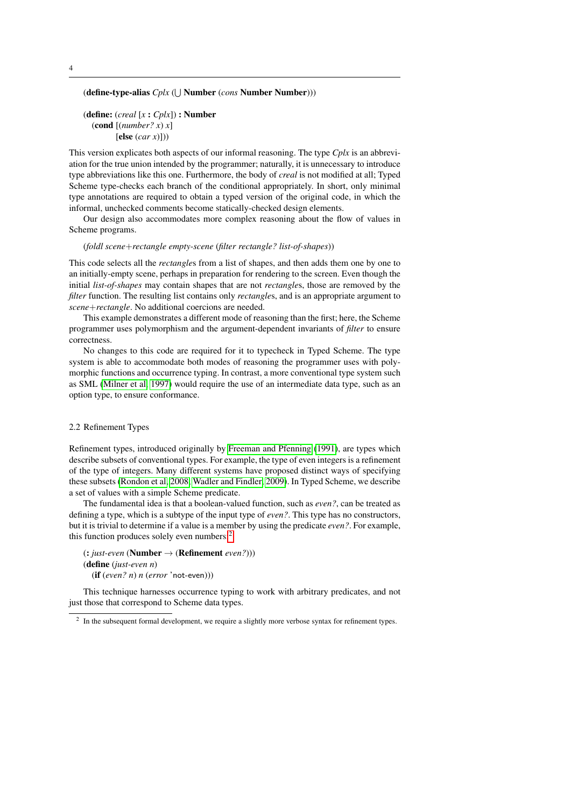(define-type-alias *Cplx* ( $\cup$  Number (*cons* Number Number)))

```
(define: (creal [x : Cplx]) : Number
  (cond [(number? x) x]
         [else (car x)]))
```
This version explicates both aspects of our informal reasoning. The type *Cplx* is an abbreviation for the true union intended by the programmer; naturally, it is unnecessary to introduce type abbreviations like this one. Furthermore, the body of *creal* is not modified at all; Typed Scheme type-checks each branch of the conditional appropriately. In short, only minimal type annotations are required to obtain a typed version of the original code, in which the informal, unchecked comments become statically-checked design elements.

Our design also accommodates more complex reasoning about the flow of values in Scheme programs.

#### (*foldl scene*+*rectangle empty-scene* (*filter rectangle? list-of-shapes*))

This code selects all the *rectangle*s from a list of shapes, and then adds them one by one to an initially-empty scene, perhaps in preparation for rendering to the screen. Even though the initial *list-of-shapes* may contain shapes that are not *rectangle*s, those are removed by the *filter* function. The resulting list contains only *rectangles*, and is an appropriate argument to *scene*+*rectangle*. No additional coercions are needed.

This example demonstrates a different mode of reasoning than the first; here, the Scheme programmer uses polymorphism and the argument-dependent invariants of *filter* to ensure correctness.

No changes to this code are required for it to typecheck in Typed Scheme. The type system is able to accommodate both modes of reasoning the programmer uses with polymorphic functions and occurrence typing. In contrast, a more conventional type system such as SML [\(Milner et al, 1997\)](#page-31-2) would require the use of an intermediate data type, such as an option type, to ensure conformance.

## 2.2 Refinement Types

Refinement types, introduced originally by [Freeman and Pfenning](#page-30-3) [\(1991\)](#page-30-3), are types which describe subsets of conventional types. For example, the type of even integers is a refinement of the type of integers. Many different systems have proposed distinct ways of specifying these subsets [\(Rondon et al, 2008;](#page-32-3) [Wadler and Findler, 2009\)](#page-32-4). In Typed Scheme, we describe a set of values with a simple Scheme predicate.

The fundamental idea is that a boolean-valued function, such as *even?*, can be treated as defining a type, which is a subtype of the input type of *even?*. This type has no constructors, but it is trivial to determine if a value is a member by using the predicate *even?*. For example, this function produces solely even numbers:<sup>[2](#page-3-0)</sup>

(: *just-even* (Number → (Refinement *even?*))) (define (*just-even n*) (if (*even? n*) *n* (*error* 'not-even)))

This technique harnesses occurrence typing to work with arbitrary predicates, and not just those that correspond to Scheme data types.

<span id="page-3-0"></span> $2$  In the subsequent formal development, we require a slightly more verbose syntax for refinement types.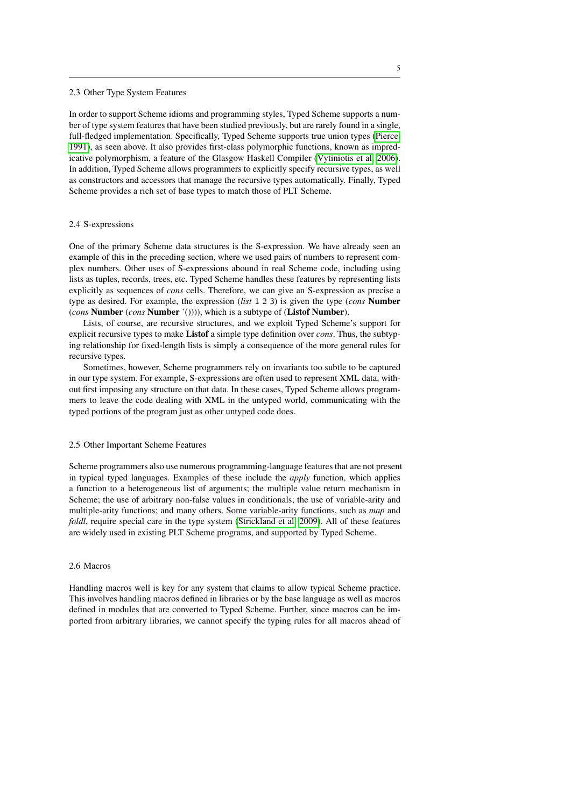#### 2.3 Other Type System Features

In order to support Scheme idioms and programming styles, Typed Scheme supports a number of type system features that have been studied previously, but are rarely found in a single, full-fledged implementation. Specifically, Typed Scheme supports true union types [\(Pierce,](#page-32-5) [1991\)](#page-32-5), as seen above. It also provides first-class polymorphic functions, known as impredicative polymorphism, a feature of the Glasgow Haskell Compiler [\(Vytiniotis et al, 2006\)](#page-32-6). In addition, Typed Scheme allows programmers to explicitly specify recursive types, as well as constructors and accessors that manage the recursive types automatically. Finally, Typed Scheme provides a rich set of base types to match those of PLT Scheme.

#### 2.4 S-expressions

One of the primary Scheme data structures is the S-expression. We have already seen an example of this in the preceding section, where we used pairs of numbers to represent complex numbers. Other uses of S-expressions abound in real Scheme code, including using lists as tuples, records, trees, etc. Typed Scheme handles these features by representing lists explicitly as sequences of *cons* cells. Therefore, we can give an S-expression as precise a type as desired. For example, the expression (*list* 1 2 3) is given the type (*cons* Number (*cons* Number (*cons* Number '()))), which is a subtype of (Listof Number).

Lists, of course, are recursive structures, and we exploit Typed Scheme's support for explicit recursive types to make Listof a simple type definition over *cons*. Thus, the subtyping relationship for fixed-length lists is simply a consequence of the more general rules for recursive types.

Sometimes, however, Scheme programmers rely on invariants too subtle to be captured in our type system. For example, S-expressions are often used to represent XML data, without first imposing any structure on that data. In these cases, Typed Scheme allows programmers to leave the code dealing with XML in the untyped world, communicating with the typed portions of the program just as other untyped code does.

## 2.5 Other Important Scheme Features

Scheme programmers also use numerous programming-language features that are not present in typical typed languages. Examples of these include the *apply* function, which applies a function to a heterogeneous list of arguments; the multiple value return mechanism in Scheme; the use of arbitrary non-false values in conditionals; the use of variable-arity and multiple-arity functions; and many others. Some variable-arity functions, such as *map* and *foldl*, require special care in the type system [\(Strickland et al, 2009\)](#page-32-7). All of these features are widely used in existing PLT Scheme programs, and supported by Typed Scheme.

#### 2.6 Macros

Handling macros well is key for any system that claims to allow typical Scheme practice. This involves handling macros defined in libraries or by the base language as well as macros defined in modules that are converted to Typed Scheme. Further, since macros can be imported from arbitrary libraries, we cannot specify the typing rules for all macros ahead of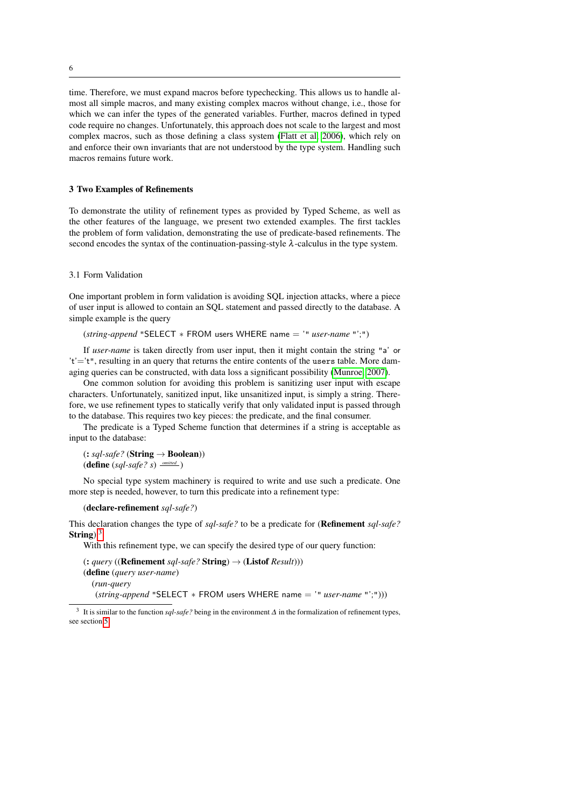time. Therefore, we must expand macros before typechecking. This allows us to handle almost all simple macros, and many existing complex macros without change, i.e., those for which we can infer the types of the generated variables. Further, macros defined in typed code require no changes. Unfortunately, this approach does not scale to the largest and most complex macros, such as those defining a class system [\(Flatt et al, 2006\)](#page-30-4), which rely on and enforce their own invariants that are not understood by the type system. Handling such macros remains future work.

## <span id="page-5-1"></span>3 Two Examples of Refinements

To demonstrate the utility of refinement types as provided by Typed Scheme, as well as the other features of the language, we present two extended examples. The first tackles the problem of form validation, demonstrating the use of predicate-based refinements. The second encodes the syntax of the continuation-passing-style  $\lambda$ -calculus in the type system.

#### 3.1 Form Validation

One important problem in form validation is avoiding SQL injection attacks, where a piece of user input is allowed to contain an SQL statement and passed directly to the database. A simple example is the query

(*string-append* "SELECT ∗ FROM users WHERE name = '" *user-name* "';")

If *user-name* is taken directly from user input, then it might contain the string "a' or 't'='t", resulting in an query that returns the entire contents of the users table. More damaging queries can be constructed, with data loss a significant possibility [\(Munroe, 2007\)](#page-31-3).

One common solution for avoiding this problem is sanitizing user input with escape characters. Unfortunately, sanitized input, like unsanitized input, is simply a string. Therefore, we use refinement types to statically verify that only validated input is passed through to the database. This requires two key pieces: the predicate, and the final consumer.

The predicate is a Typed Scheme function that determines if a string is acceptable as input to the database:

 $(:. sql-safe?$  (**String**  $\rightarrow$  **Boolean**))  $(\text{define } (sql-safe? s) \xrightarrow{omitted} )$ 

No special type system machinery is required to write and use such a predicate. One more step is needed, however, to turn this predicate into a refinement type:

```
(declare-refinement sql-safe?)
```
This declaration changes the type of *sql-safe?* to be a predicate for (Refinement *sql-safe?* String). $3$ 

With this refinement type, we can specify the desired type of our query function:

 $($ : *query* ((**Refinement** *sql-safe?* **String**)  $\rightarrow$  (**Listof** *Result*))) (define (*query user-name*) (*run-query* (*string-append* "SELECT ∗ FROM users WHERE name = '" *user-name* "';")))

6

<span id="page-5-0"></span><sup>3</sup> It is similar to the function *sql-safe?* being in the environment ∆ in the formalization of refinement types, see section [5.](#page-14-0)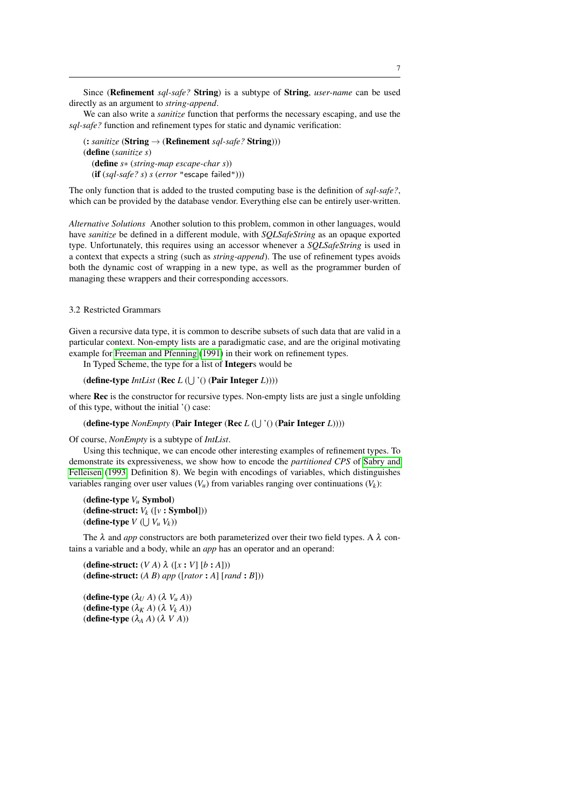Since (Refinement *sql-safe?* String) is a subtype of String, *user-name* can be used directly as an argument to *string-append*.

We can also write a *sanitize* function that performs the necessary escaping, and use the *sql-safe?* function and refinement types for static and dynamic verification:

(: *sanitize* (String → (Refinement *sql-safe?* String))) (define (*sanitize s*) (define *s*∗ (*string-map escape-char s*)) (if (*sql-safe? s*) *s* (*error* "escape failed")))

The only function that is added to the trusted computing base is the definition of *sql-safe?*, which can be provided by the database vendor. Everything else can be entirely user-written.

*Alternative Solutions* Another solution to this problem, common in other languages, would have *sanitize* be defined in a different module, with *SQLSafeString* as an opaque exported type. Unfortunately, this requires using an accessor whenever a *SQLSafeString* is used in a context that expects a string (such as *string-append*). The use of refinement types avoids both the dynamic cost of wrapping in a new type, as well as the programmer burden of managing these wrappers and their corresponding accessors.

# 3.2 Restricted Grammars

Given a recursive data type, it is common to describe subsets of such data that are valid in a particular context. Non-empty lists are a paradigmatic case, and are the original motivating example for [Freeman and Pfenning](#page-30-3) [\(1991\)](#page-30-3) in their work on refinement types.

In Typed Scheme, the type for a list of Integers would be

(define-type *IntList* (Rec *L* ( $\bigcup$  '() (Pair Integer *L*))))

where **Rec** is the constructor for recursive types. Non-empty lists are just a single unfolding of this type, without the initial '() case:

#### (define-type *NonEmpty* (Pair Integer (Rec *L* ( $\bigcup$  '() (Pair Integer *L*))))

Of course, *NonEmpty* is a subtype of *IntList*.

Using this technique, we can encode other interesting examples of refinement types. To demonstrate its expressiveness, we show how to encode the *partitioned CPS* of [Sabry and](#page-32-8) [Felleisen](#page-32-8) [\(1993,](#page-32-8) Definition 8). We begin with encodings of variables, which distinguishes variables ranging over user values  $(V_u)$  from variables ranging over continuations  $(V_k)$ :

(define-type *V<sup>u</sup>* Symbol) (define-struct: *V<sup>k</sup>* ([*v* : Symbol])) (define-type  $V$  ( $\bigcup V_u V_k$ ))

The  $\lambda$  and *app* constructors are both parameterized over their two field types. A  $\lambda$  contains a variable and a body, while an *app* has an operator and an operand:

(define-struct:  $(V A) \lambda (x : V | [b : A])$ ) (define-struct: (*A B*) *app* ([*rator* : *A*] [*rand* : *B*]))

(define-type  $(\lambda_U A) (\lambda V_u A)$ ) (define-type  $(\lambda_K A)$   $(\lambda V_k A)$ ) (define-type  $(\lambda_A A)(\lambda V A)$ )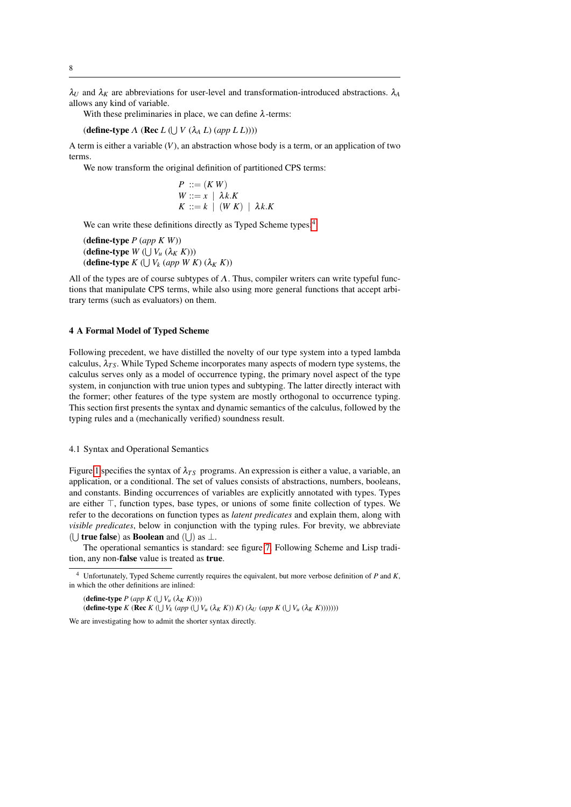$\lambda_U$  and  $\lambda_K$  are abbreviations for user-level and transformation-introduced abstractions.  $\lambda_A$ allows any kind of variable.

With these preliminaries in place, we can define  $\lambda$ -terms:

(**define-type**  $\Lambda$  (**Rec**  $L$  ( $\bigcup V$  ( $\lambda_A L$ ) (app  $L L$ ))))

A term is either a variable (*V*), an abstraction whose body is a term, or an application of two terms.

We now transform the original definition of partitioned CPS terms:

$$
P ::= (K W)
$$
  
W ::= x |  $\lambda k.K$   
K ::= k | (W K) |  $\lambda k.K$ 

We can write these definitions directly as Typed Scheme types:<sup>[4](#page-7-0)</sup>

(define-type *P* (*app K W*))  $(\text{define-type } W \left( \bigcup V_u \left( \lambda_K K \right) \right))$  $k$  (*define-type*  $K$  ( $\bigcup V_k$  (*app W K*) ( $\lambda_K$  *K*))

All of the types are of course subtypes of  $\Lambda$ . Thus, compiler writers can write typeful functions that manipulate CPS terms, while also using more general functions that accept arbitrary terms (such as evaluators) on them.

## 4 A Formal Model of Typed Scheme

Following precedent, we have distilled the novelty of our type system into a typed lambda calculus,  $\lambda_{TS}$ . While Typed Scheme incorporates many aspects of modern type systems, the calculus serves only as a model of occurrence typing, the primary novel aspect of the type system, in conjunction with true union types and subtyping. The latter directly interact with the former; other features of the type system are mostly orthogonal to occurrence typing. This section first presents the syntax and dynamic semantics of the calculus, followed by the typing rules and a (mechanically verified) soundness result.

## 4.1 Syntax and Operational Semantics

Figure [1](#page-8-0) specifies the syntax of  $\lambda_{TS}$  programs. An expression is either a value, a variable, an application, or a conditional. The set of values consists of abstractions, numbers, booleans, and constants. Binding occurrences of variables are explicitly annotated with types. Types are either  $\top$ , function types, base types, or unions of some finite collection of types. We refer to the decorations on function types as *latent predicates* and explain them, along with *visible predicates*, below in conjunction with the typing rules. For brevity, we abbreviate ( $\cup$  true false) as Boolean and ( $\cup$ ) as  $\bot$ .

The operational semantics is standard: see figure [7.](#page-12-0) Following Scheme and Lisp tradition, any non-false value is treated as true.

 $P \left( \text{app } K \left( \bigcup V_u \left( \lambda_K K \right) \right) \right)$  $(\text{define-type } K \text{ (Rec } K \text{ } (\bigcup V_k \text{ } (app \text{ } (\bigcup V_u (\lambda_K K)) K) \text{ } (\lambda_U \text{ } (app K \text{ } (\bigcup V_u (\lambda_K K)))))))$ 

We are investigating how to admit the shorter syntax directly.

<span id="page-7-0"></span><sup>4</sup> Unfortunately, Typed Scheme currently requires the equivalent, but more verbose definition of *P* and *K*, in which the other definitions are inlined: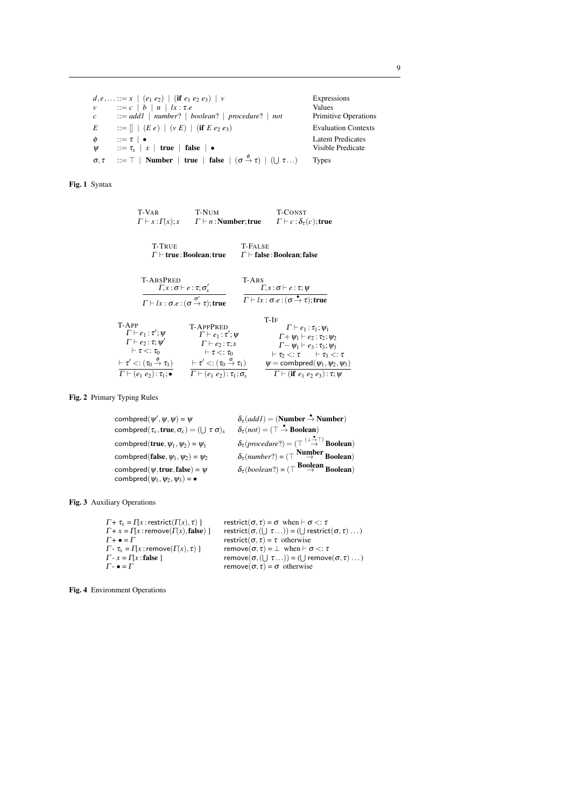$d, e, \ldots ::= x \mid (e_1 \ e_2) \mid (\textbf{if} \ e_1 \ e_2 \ e_3) \mid v$  Expressions  $\nu$  ::= *c* | *b* | *n* | *lx* :  $\tau$ *.e* Values *c* ::= *add1* | *number*? | *boolean*? | *procedure*? | *not* Primitive Operations  $E$  ::=  $[$  | (*E e*) | (*v E*) | (**if** *E e*<sub>2</sub> *e*<sub>3</sub>) Evaluation Contexts  $\phi$  ::=  $\tau$  | • Latent Predicates<br>  $\Psi$  ::=  $\tau_x$  |  $x$  | true | false | • Visible Predicate  $\psi$  ::=  $\tau_x$  | *x* | **true** | **false** | • σ, τ  $\cdots = \top$  | Number | true | false | (σ  $\stackrel{\phi}{\rightarrow} \tau$ ) | (∪ Types

<span id="page-8-0"></span>Fig. 1 Syntax

| T-VAR                                                                                                                                                                                                                                | T-NUM                                                                                                                                                                                                                               |                                       | T-CONST                                                                                                                                                                                                                                                                                                     |
|--------------------------------------------------------------------------------------------------------------------------------------------------------------------------------------------------------------------------------------|-------------------------------------------------------------------------------------------------------------------------------------------------------------------------------------------------------------------------------------|---------------------------------------|-------------------------------------------------------------------------------------------------------------------------------------------------------------------------------------------------------------------------------------------------------------------------------------------------------------|
| $\Gamma \vdash x : \Gamma(x); x$                                                                                                                                                                                                     | $\Gamma \vdash n$ : Number; true                                                                                                                                                                                                    |                                       | $\Gamma \vdash c : \delta_\tau(c);$ true                                                                                                                                                                                                                                                                    |
| <b>T-TRUE</b>                                                                                                                                                                                                                        |                                                                                                                                                                                                                                     | T-False                               |                                                                                                                                                                                                                                                                                                             |
| $\Gamma \vdash$ true : Boolean; true                                                                                                                                                                                                 |                                                                                                                                                                                                                                     | $\Gamma\vdash$ false : Boolean; false |                                                                                                                                                                                                                                                                                                             |
| <b>T-ABSPRED</b>                                                                                                                                                                                                                     | $\Gamma, x : \sigma \vdash e : \tau; \sigma'$<br>$\Gamma \vdash lx : \sigma.e : (\sigma \stackrel{\sigma'}{\rightarrow} \tau);$ true                                                                                                | $T-ABS$                               | $\Gamma$ , $x : \sigma \vdash e : \tau$ ; $\psi$<br>$\Gamma \vdash lx : \sigma.e : (\sigma \stackrel{\bullet}{\rightarrow} \tau);$ true                                                                                                                                                                     |
| T-APP<br>$\Gamma \vdash e_1 : \tau' : \Psi$<br>$\Gamma \vdash e_2 : \tau; \psi'$<br>$\vdash \tau \lt: : \tau_0$<br>$\vdash \tau' <: (\tau_0 \overset{\varphi}{\rightarrow} \tau_1)$<br>$\Gamma \vdash (e_1 \ e_2) : \tau_1; \bullet$ | <b>T-APPPRED</b><br>$\Gamma \vdash e_1 : \tau' : \Psi$<br>$\Gamma \vdash e_2 : \tau; x$<br>$\vdash \tau \lt: : \tau_0$<br>$\vdash \tau' <: (\tau_0 \overset{\sigma}{\to} \tau_1)$<br>$\Gamma \vdash (e_1 \ e_2) : \tau_1; \sigma_x$ |                                       | T-IF<br>$\Gamma \vdash e_1 : \tau_1; \psi_1$<br>$\Gamma + \psi_1 \vdash e_2 : \tau_2; \psi_2$<br>$\Gamma - \psi_1 \vdash e_3 : \tau_3; \psi_3$<br>$\vdash \tau_2 <: \tau \qquad \vdash \tau_3 <: \tau$<br>$\psi =$ combpred $(\psi_1, \psi_2, \psi_3)$<br>$\Gamma \vdash$ (if $e_1 e_2 e_3$ ): $\tau; \psi$ |

#### <span id="page-8-1"></span>Fig. 2 Primary Typing Rules

 $\mathsf{combpred}(\psi'$  $\delta_{\tau}(addI) = (\textbf{Number} \overset{\bullet}{\rightarrow} \textbf{Number})$ combpred $(\tau_x, \text{true}, \sigma_x) = (\bigcup \tau \sigma)_x$  $(\tau \sigma)_x$   $\delta_\tau(not) = (\tau \rightarrow \mathbf{Boolean})$  ${\sf combined}({\bf true},\psi_1,\psi_2) = \psi_1$  $\stackrel{(\perp \stackrel{\bullet}{\to} \top)}{\to} \mathbf{Boolean})$ combpred(false,  $\psi_1, \psi_2$ ) =  $\psi_2$  $\delta_{\tau}(number?) = (\top^{\text{Number}} \rightarrow \text{Boolean})$ combpred( $\psi$ , true, false) =  $\psi$  $\delta_{\tau}(\text{boolean?}) = (\top^{\text{Boolean}} \text{Boolean})$ combpred $(\psi_1, \psi_2, \psi_3) = \bullet$ 

<span id="page-8-2"></span>Fig. 3 Auxiliary Operations

| $\Gamma + \tau_x = \Pi x$ : restrict( $\Gamma(x)$ , $\tau$ ) ] | restrict( $\sigma$ , $\tau$ ) = $\sigma$ when $\vdash \sigma$ <: $\tau$         |
|----------------------------------------------------------------|---------------------------------------------------------------------------------|
| $\Gamma$ + x = $\Gamma$ x : remove( $\Gamma$ (x), false) ]     | restrict( $\sigma$ , ( $\cup \tau$ )) = ( $\cup$ restrict( $\sigma$ , $\tau$ )) |
| $\Gamma$ + $\bullet$ = $\Gamma$                                | restrict( $\sigma$ , $\tau$ ) = $\tau$ otherwise                                |
| $\Gamma$ - $\tau_{r} = \prod x$ : remove $(\Gamma(x), \tau)$ ] | remove( $\sigma$ , $\tau$ ) = $\perp$ when $\vdash \sigma$ <: $\tau$            |
| $\Gamma$ - $x = \Pi x$ : false ]                               | remove $(\sigma, (U \tau) ) = (U \text{ remove}(\sigma, \tau) \dots)$           |
| $\Gamma$ - $\bullet$ = $\Gamma$                                | remove( $\sigma$ , $\tau$ ) = $\sigma$ otherwise                                |

<span id="page-8-3"></span>Fig. 4 Environment Operations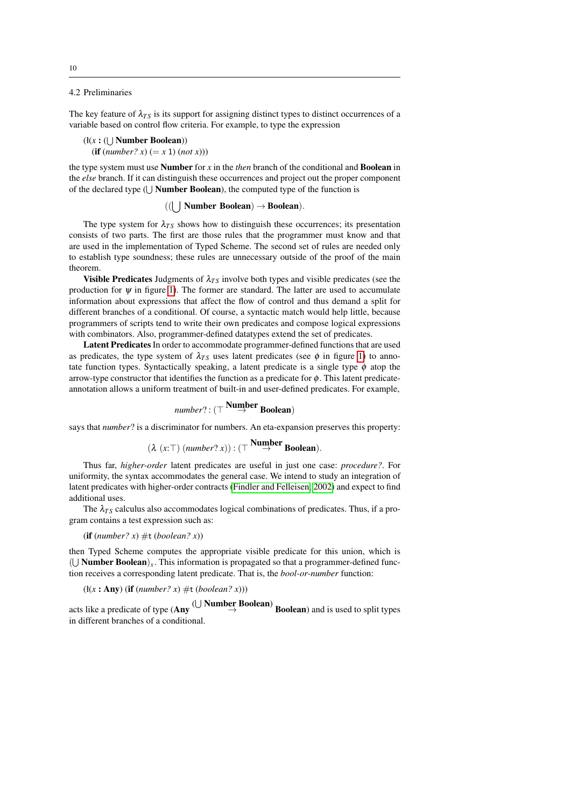## 4.2 Preliminaries

The key feature of  $\lambda_{TS}$  is its support for assigning distinct types to distinct occurrences of a variable based on control flow criteria. For example, to type the expression

```
(l(x: (\bigcup Number Boolean))
  (if (number? x) (= x 1) (not x)))
```
the type system must use Number for *x* in the *then* branch of the conditional and Boolean in the *else* branch. If it can distinguish these occurrences and project out the proper component of the declared type  $(\bigcup$  **Number Boolean**), the computed type of the function is

# $((\n\begin{array}{c}\n\end{array})$  Number Boolean)  $\rightarrow$  Boolean).

The type system for  $\lambda_{TS}$  shows how to distinguish these occurrences; its presentation consists of two parts. The first are those rules that the programmer must know and that are used in the implementation of Typed Scheme. The second set of rules are needed only to establish type soundness; these rules are unnecessary outside of the proof of the main theorem.

Visible Predicates Judgments of  $\lambda_{TS}$  involve both types and visible predicates (see the production for  $\psi$  in figure [1\)](#page-8-0). The former are standard. The latter are used to accumulate information about expressions that affect the flow of control and thus demand a split for different branches of a conditional. Of course, a syntactic match would help little, because programmers of scripts tend to write their own predicates and compose logical expressions with combinators. Also, programmer-defined datatypes extend the set of predicates.

Latent Predicates In order to accommodate programmer-defined functions that are used as predicates, the type system of  $\lambda_{TS}$  uses latent predicates (see  $\phi$  in figure [1\)](#page-8-0) to annotate function types. Syntactically speaking, a latent predicate is a single type  $\phi$  atop the arrow-type constructor that identifies the function as a predicate for  $\phi$ . This latent predicateannotation allows a uniform treatment of built-in and user-defined predicates. For example,

# $\mathit{number?} : (\top \overset{\textbf{Number}}{\rightarrow} \textbf{Boolean})$

says that *number*? is a discriminator for numbers. An eta-expansion preserves this property:

$$
(\lambda(x:\top)(number? x)) : (\top^{\text{Number}} \text{Boolean}).
$$

Thus far, *higher-order* latent predicates are useful in just one case: *procedure?*. For uniformity, the syntax accommodates the general case. We intend to study an integration of latent predicates with higher-order contracts [\(Findler and Felleisen, 2002\)](#page-30-5) and expect to find additional uses.

The  $\lambda_{TS}$  calculus also accommodates logical combinations of predicates. Thus, if a program contains a test expression such as:

(if  $(number? x) \#t (boolean? x)$ )

then Typed Scheme computes the appropriate visible predicate for this union, which is ( $\bigcup$  **Number Boolean**)<sub>x</sub>. This information is propagated so that a programmer-defined function receives a corresponding latent predicate. That is, the *bool-or-number* function:

 $(H(x : Any)$  (if  $(number? x) \#t (boolean? x))$ )

acts like a predicate of type (Any  $\cup$  Number Boolean) Boolean) and is used to split types in different branches of a conditional.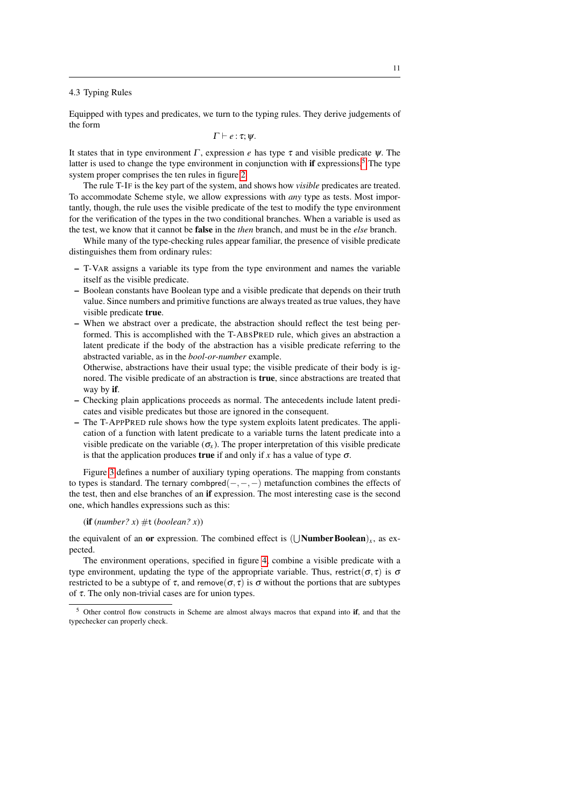#### 4.3 Typing Rules

Equipped with types and predicates, we turn to the typing rules. They derive judgements of the form

 $\Gamma \vdash e : \tau; \psi.$ 

It states that in type environment  $\Gamma$ , expression *e* has type  $\tau$  and visible predicate  $\psi$ . The latter is used to change the type environment in conjunction with if expressions.<sup>[5](#page-10-0)</sup> The type system proper comprises the ten rules in figure [2.](#page-8-1)

The rule T-IF is the key part of the system, and shows how *visible* predicates are treated. To accommodate Scheme style, we allow expressions with *any* type as tests. Most importantly, though, the rule uses the visible predicate of the test to modify the type environment for the verification of the types in the two conditional branches. When a variable is used as the test, we know that it cannot be false in the *then* branch, and must be in the *else* branch.

While many of the type-checking rules appear familiar, the presence of visible predicate distinguishes them from ordinary rules:

- T-VAR assigns a variable its type from the type environment and names the variable itself as the visible predicate.
- Boolean constants have Boolean type and a visible predicate that depends on their truth value. Since numbers and primitive functions are always treated as true values, they have visible predicate true.
- When we abstract over a predicate, the abstraction should reflect the test being performed. This is accomplished with the T-ABSPRED rule, which gives an abstraction a latent predicate if the body of the abstraction has a visible predicate referring to the abstracted variable, as in the *bool-or-number* example.

Otherwise, abstractions have their usual type; the visible predicate of their body is ignored. The visible predicate of an abstraction is true, since abstractions are treated that way by if.

- Checking plain applications proceeds as normal. The antecedents include latent predicates and visible predicates but those are ignored in the consequent.
- The T-APPPRED rule shows how the type system exploits latent predicates. The application of a function with latent predicate to a variable turns the latent predicate into a visible predicate on the variable  $(\sigma_x)$ . The proper interpretation of this visible predicate is that the application produces **true** if and only if *x* has a value of type  $\sigma$ .

Figure [3](#page-8-2) defines a number of auxiliary typing operations. The mapping from constants to types is standard. The ternary combpred $(-,-,-)$  metafunction combines the effects of the test, then and else branches of an if expression. The most interesting case is the second one, which handles expressions such as this:

## (if  $(number? x) \#t (boolean? x)$ )

the equivalent of an **or** expression. The combined effect is  $(\bigcup \textbf{Number Boolean})_x$ , as expected.

The environment operations, specified in figure [4,](#page-8-3) combine a visible predicate with a type environment, updating the type of the appropriate variable. Thus, restrict( $\sigma$ , $\tau$ ) is  $\sigma$ restricted to be a subtype of  $\tau$ , and remove( $\sigma$ ,  $\tau$ ) is  $\sigma$  without the portions that are subtypes of  $\tau$ . The only non-trivial cases are for union types.

<span id="page-10-0"></span>Other control flow constructs in Scheme are almost always macros that expand into if, and that the typechecker can properly check.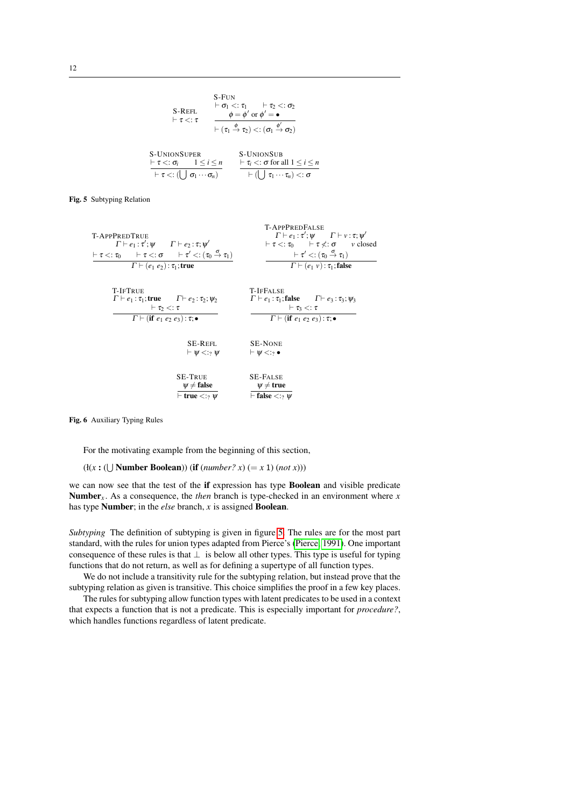S-FLV  
\nS-REFL  
\n
$$
\vdash \sigma_1 <: \tau_1 > \tau_2 <: \sigma_2
$$
\n
$$
\vdash \tau <: \tau
$$
\n
$$
\frac{\phi = \phi' \text{ or } \phi' = \bullet}{\vdash (\tau_1 \xrightarrow{\phi} \tau_2) <: (\sigma_1 \xrightarrow{\phi'} \sigma_2)}
$$
\nS-UNIONSUPER  
\n
$$
\frac{\vdash \tau <: \sigma_i \quad 1 \leq i \leq n}{\vdash \tau <: (\bigcup \sigma_1 \cdots \sigma_n)} \qquad \frac{\vdash \tau_i <: \sigma \text{ for all } 1 \leq i \leq n}{\vdash (\bigcup \tau_1 \cdots \tau_n) <: \sigma}
$$

<span id="page-11-0"></span>Fig. 5 Subtyping Relation

| <b>T-APPPREDFALSE</b><br>$\Gamma \vdash e_1 : \tau'; \psi \qquad \Gamma \vdash \nu : \tau; \psi'$ |  |  |
|---------------------------------------------------------------------------------------------------|--|--|
| $\vdash \tau \lt: : \tau_0 \quad \vdash \tau \not\lt: : \sigma \quad \text{$v$ closed}$           |  |  |
| $\vdash \tau' \lt: : (\tau_0 \stackrel{\sigma}{\to} \tau_1)$                                      |  |  |
| $\Gamma \vdash (e_1 \nu) : \tau_1;$ false                                                         |  |  |
| <b>T-IFFALSE</b>                                                                                  |  |  |
| $\Gamma \vdash e_1 : \tau_1;$ false $\Gamma \vdash e_3 : \tau_3; \psi_3$                          |  |  |
| $\vdash \tau_3 < : \tau$                                                                          |  |  |
| $\Gamma \vdash (\text{if } e_1 \ e_2 \ e_3) : \tau; \bullet$                                      |  |  |
| <b>SE-NONE</b>                                                                                    |  |  |
| $\vdash \Psi \leq :_{?} \bullet$                                                                  |  |  |
| <b>SE-FALSE</b>                                                                                   |  |  |
| $\psi \neq \text{true}$<br>$\vdash$ false $\lt:$ ? $\psi$                                         |  |  |
|                                                                                                   |  |  |

<span id="page-11-1"></span>Fig. 6 Auxiliary Typing Rules

For the motivating example from the beginning of this section,

 $(H(x: (\bigcup \text{Number Boolean}))$  (if  $(number? x) (= x 1)$   $(not x))$ )

we can now see that the test of the if expression has type Boolean and visible predicate Number*<sup>x</sup>* . As a consequence, the *then* branch is type-checked in an environment where *x* has type Number; in the *else* branch, *x* is assigned Boolean.

*Subtyping* The definition of subtyping is given in figure [5.](#page-11-0) The rules are for the most part standard, with the rules for union types adapted from Pierce's [\(Pierce, 1991\)](#page-32-5). One important consequence of these rules is that  $\perp$  is below all other types. This type is useful for typing functions that do not return, as well as for defining a supertype of all function types.

We do not include a transitivity rule for the subtyping relation, but instead prove that the subtyping relation as given is transitive. This choice simplifies the proof in a few key places.

The rules for subtyping allow function types with latent predicates to be used in a context that expects a function that is not a predicate. This is especially important for *procedure?*, which handles functions regardless of latent predicate.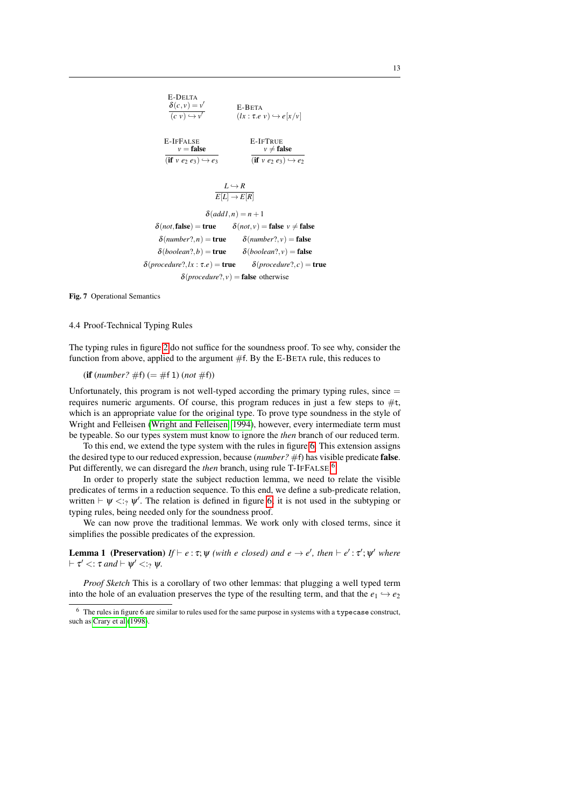

<span id="page-12-0"></span>Fig. 7 Operational Semantics

## 4.4 Proof-Technical Typing Rules

The typing rules in figure [2](#page-8-1) do not suffice for the soundness proof. To see why, consider the function from above, applied to the argument #f. By the E-BETA rule, this reduces to

 $(i\mathbf{f}(number? \# \mathbf{f}) (= \# \mathbf{f} 1)(not \# \mathbf{f}))$ 

Unfortunately, this program is not well-typed according the primary typing rules, since  $=$ requires numeric arguments. Of course, this program reduces in just a few steps to  $\#t$ , which is an appropriate value for the original type. To prove type soundness in the style of Wright and Felleisen [\(Wright and Felleisen, 1994\)](#page-32-9), however, every intermediate term must be typeable. So our types system must know to ignore the *then* branch of our reduced term.

To this end, we extend the type system with the rules in figure [6.](#page-11-1) This extension assigns the desired type to our reduced expression, because (*number?* #f) has visible predicate false. Put differently, we can disregard the *then* branch, using rule T-IFFALSE.<sup>[6](#page-12-1)</sup>

In order to properly state the subject reduction lemma, we need to relate the visible predicates of terms in a reduction sequence. To this end, we define a sub-predicate relation, written  $\vdash \psi \leq_{?} \psi'$ . The relation is defined in figure [6;](#page-11-1) it is not used in the subtyping or typing rules, being needed only for the soundness proof.

We can now prove the traditional lemmas. We work only with closed terms, since it simplifies the possible predicates of the expression.

**Lemma 1** (Preservation)  $If \vdash e : \tau; \psi$  (with e closed) and  $e \rightarrow e'$ , then  $\vdash e' : \tau'; \psi'$  where  $\vdash \tau' <: \tau$  and  $\vdash \psi' <: \gamma \psi$ .

*Proof Sketch* This is a corollary of two other lemmas: that plugging a well typed term into the hole of an evaluation preserves the type of the resulting term, and that the  $e_1 \rightarrow e_2$ 

<span id="page-12-1"></span><sup>6</sup> The rules in figure 6 are similar to rules used for the same purpose in systems with a typecase construct, such as [Crary et al](#page-30-6) [\(1998\)](#page-30-6).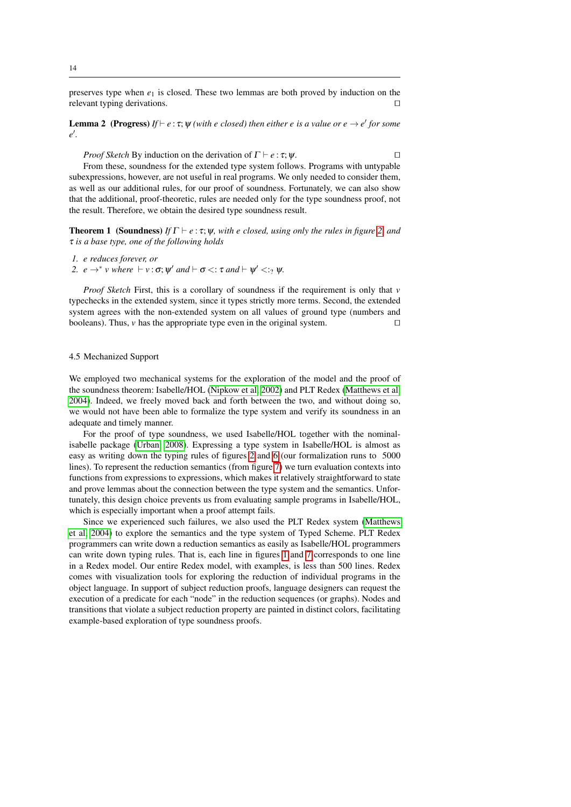preserves type when  $e_1$  is closed. These two lemmas are both proved by induction on the relevant typing derivations.  $\Box$ 

**Lemma 2** (Progress)  $If \vdash e : \tau; \psi$  (with e closed) then either e is a value or  $e \rightarrow e'$  for some *e*<sup> $\prime$ </sup>.

*Proof Sketch* By induction on the derivation of  $\Gamma \vdash e : \tau; \psi$ .

From these, soundness for the extended type system follows. Programs with untypable subexpressions, however, are not useful in real programs. We only needed to consider them, as well as our additional rules, for our proof of soundness. Fortunately, we can also show that the additional, proof-theoretic, rules are needed only for the type soundness proof, not the result. Therefore, we obtain the desired type soundness result.

**Theorem 1** (Soundness) *If*  $\Gamma \vdash e : \tau; \psi$ *, with e closed, using only the rules in figure [2,](#page-8-1) and* τ *is a base type, one of the following holds*

*1. e reduces forever, or*

<span id="page-13-0"></span>2.  $e \rightarrow^* v$  where  $\vdash v : \sigma; \psi'$  and  $\vdash \sigma \lt: : \tau$  and  $\vdash \psi' \lt: :_? \psi$ .

*Proof Sketch* First, this is a corollary of soundness if the requirement is only that *v* typechecks in the extended system, since it types strictly more terms. Second, the extended system agrees with the non-extended system on all values of ground type (numbers and booleans). Thus,  $\nu$  has the appropriate type even in the original system.

#### 4.5 Mechanized Support

We employed two mechanical systems for the exploration of the model and the proof of the soundness theorem: Isabelle/HOL [\(Nipkow et al, 2002\)](#page-32-10) and PLT Redex [\(Matthews et al,](#page-31-4) [2004\)](#page-31-4). Indeed, we freely moved back and forth between the two, and without doing so, we would not have been able to formalize the type system and verify its soundness in an adequate and timely manner.

For the proof of type soundness, we used Isabelle/HOL together with the nominalisabelle package [\(Urban, 2008\)](#page-32-11). Expressing a type system in Isabelle/HOL is almost as easy as writing down the typing rules of figures [2](#page-8-1) and [6](#page-11-1) (our formalization runs to 5000 lines). To represent the reduction semantics (from figure [7\)](#page-12-0) we turn evaluation contexts into functions from expressions to expressions, which makes it relatively straightforward to state and prove lemmas about the connection between the type system and the semantics. Unfortunately, this design choice prevents us from evaluating sample programs in Isabelle/HOL, which is especially important when a proof attempt fails.

Since we experienced such failures, we also used the PLT Redex system [\(Matthews](#page-31-4) [et al, 2004\)](#page-31-4) to explore the semantics and the type system of Typed Scheme. PLT Redex programmers can write down a reduction semantics as easily as Isabelle/HOL programmers can write down typing rules. That is, each line in figures [1](#page-8-0) and [7](#page-12-0) corresponds to one line in a Redex model. Our entire Redex model, with examples, is less than 500 lines. Redex comes with visualization tools for exploring the reduction of individual programs in the object language. In support of subject reduction proofs, language designers can request the execution of a predicate for each "node" in the reduction sequences (or graphs). Nodes and transitions that violate a subject reduction property are painted in distinct colors, facilitating example-based exploration of type soundness proofs.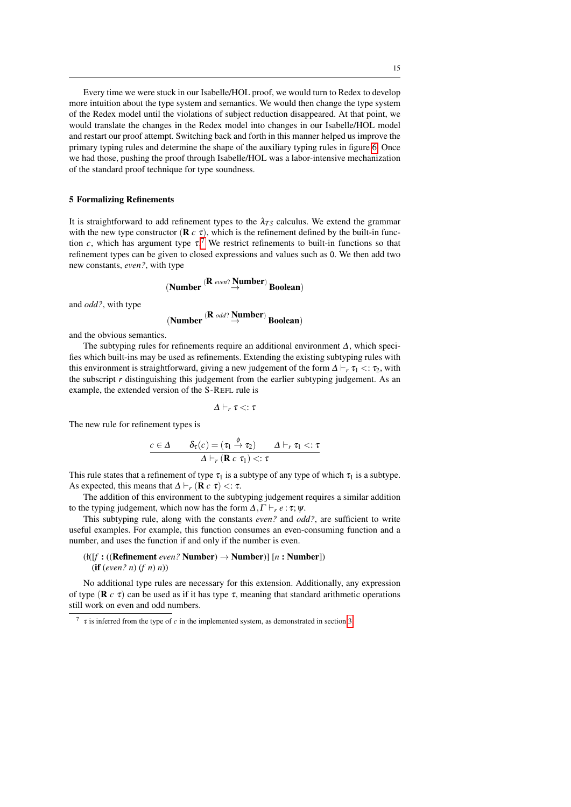Every time we were stuck in our Isabelle/HOL proof, we would turn to Redex to develop more intuition about the type system and semantics. We would then change the type system of the Redex model until the violations of subject reduction disappeared. At that point, we would translate the changes in the Redex model into changes in our Isabelle/HOL model and restart our proof attempt. Switching back and forth in this manner helped us improve the primary typing rules and determine the shape of the auxiliary typing rules in figure [6.](#page-11-1) Once we had those, pushing the proof through Isabelle/HOL was a labor-intensive mechanization of the standard proof technique for type soundness.

#### <span id="page-14-0"></span>5 Formalizing Refinements

It is straightforward to add refinement types to the  $\lambda_{TS}$  calculus. We extend the grammar with the new type constructor  $(\mathbf{R} c \tau)$ , which is the refinement defined by the built-in function *c*, which has argument type  $\tau$ .<sup>[7](#page-14-1)</sup> We restrict refinements to built-in functions so that refinement types can be given to closed expressions and values such as 0. We then add two new constants, *even?*, with type

$$
(Number \stackrel{(R \text{ even?} Number)}{\rightarrow} Boolean)
$$

and *odd?*, with type

$$
(\textbf{Number} \overset{(\mathbf{R} \text{ odd?} \overset{\mathbf{Number}}{\rightarrow})}{\rightarrow} \textbf{Boolean})
$$

and the obvious semantics.

The subtyping rules for refinements require an additional environment ∆, which specifies which built-ins may be used as refinements. Extending the existing subtyping rules with this environment is straightforward, giving a new judgement of the form  $\Delta \vdash_r \tau_1 < : \tau_2$ , with the subscript *r* distinguishing this judgement from the earlier subtyping judgement. As an example, the extended version of the S-REFL rule is

$$
\varDelta\vdash_r\tau<:\tau
$$

The new rule for refinement types is

$$
\frac{c \in \Delta \qquad \delta_{\tau}(c) = (\tau_1 \stackrel{\phi}{\to} \tau_2) \qquad \Delta \vdash_r \tau_1 <: \tau}{\Delta \vdash_r (\mathbf{R} \ c \ \tau_1) <: \tau}
$$

This rule states that a refinement of type  $\tau_1$  is a subtype of any type of which  $\tau_1$  is a subtype. As expected, this means that  $\Delta \vdash_r (\mathbf{R} \ c \ \tau) < \tau$ .

The addition of this environment to the subtyping judgement requires a similar addition to the typing judgement, which now has the form  $\Delta, \Gamma \vdash_r e : \tau; \psi$ .

This subtyping rule, along with the constants *even?* and *odd?*, are sufficient to write useful examples. For example, this function consumes an even-consuming function and a number, and uses the function if and only if the number is even.

# (ł([*f* : ((Refinement *even?* Number) → Number)] [*n* : Number]) (if (*even? n*) (*f n*) *n*))

No additional type rules are necessary for this extension. Additionally, any expression of type ( $\bf{R}$  *c*  $\tau$ ) can be used as if it has type  $\tau$ , meaning that standard arithmetic operations still work on even and odd numbers.

<span id="page-14-1"></span> $\tau$  is inferred from the type of *c* in the implemented system, as demonstrated in section [3.](#page-5-1)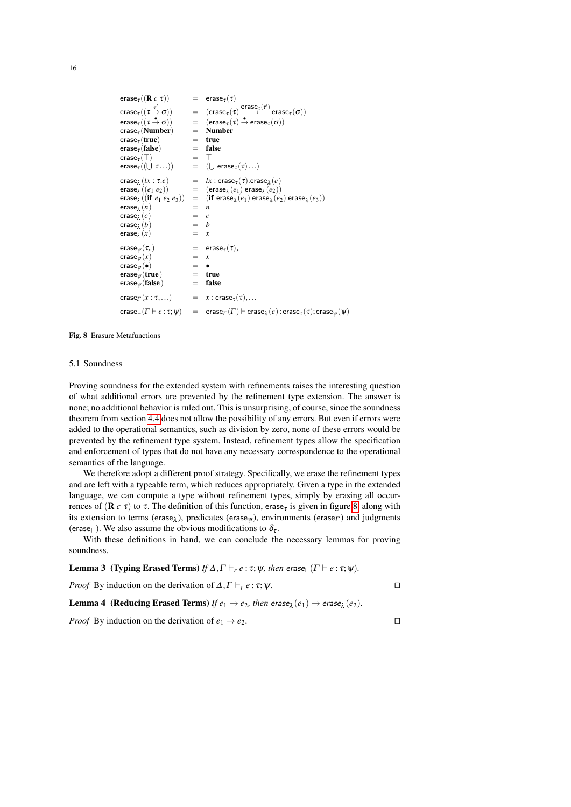```
\text{erase}_{\tau}((\mathbf{R} \ c \ \tau)) = erase<sub>\tau(\tau)</sub>
erase_\tau((\tau\frac{\tau'}{\tau}\overset{\tau'}{\rightarrow} \sigma)) \qquad = \quad (\text{erase}_\tau(\tau) \overset{\text{erase}_\tau(\tau')}{\rightarrow} \text{erase}_\tau(\sigma))erase<sub>\tau</sub> ((\tau \stackrel{\bullet}{\to} \sigma))(\Rightarrow \sigma)) = (\text{erase}_{\tau}(\tau) \stackrel{\bullet}{\rightarrow} \text{erase}_{\tau}(\sigma))erase<sub>\tau</sub> (Number) = Number<br>erase<sub>\tau</sub> (true) = true
erase<sub>τ</sub> (true) = true<br>erase<sub>τ</sub> (false) = false
erase_{\tau}(false)
erase<sub>\tau</sub>(T) = T<br>erase<sub>\tau</sub>((I | \tau...)) = (I
erase\tau((\bigcup \tau...) = (\bigcup(U erase\tau(\tau)...)
\textsf{erase}_{\lambda}(lx : \tau.e)(lx : \tau.e) = lx : \text{erase}_{\tau}(\tau). \text{erase}_{\lambda}(e)\textsf{erase}_{\lambda}((e_1 \ e_2)) = (\textsf{erase}_{\lambda})(e_1) erase_{\lambda}(e_2)\text{erase}_{\lambda}((\text{if } e_1 \ e_2 \ e_3)) = (\text{if } \text{erase}_{\lambda})(e_1) erase<sub>\lambda</sub>(e_2) erase<sub>\lambda</sub>(e_3))
\text{erase}_{\lambda}(n) = n
\mathsf{erase}_{\lambda}(c) = c\textsf{erase}_{\lambda}(b) = b
erase\lambda(x)= x\begin{array}{rcl}\n\text{erase}_{\psi}(\tau_x) & = & \text{erase}_{\tau}(\tau)_x \\
\text{erase}_{\psi}(x) & = & x\n\end{array}\begin{array}{rcl} \n\text{erase}_{\psi}(x) & = & x \\ \n\text{erase}_{\psi}(\bullet) & = & \bullet \n\end{array}erase<sub>\Psi</sub>(•) = •<br>erase<sub>\Psi</sub>(true) = true
\text{erase}_{\psi}(\text{true}) = true<br>erase<sub>w</sub>(false) = false
erasew(false)
\text{erase}_{\Gamma}(x:\tau,...) = x:\text{erase}_{\tau}(\tau),...\mathsf{erase}_\vdash(\Gamma \vdash e:\tau; \psi) \quad = \quad \mathsf{erase}_\Gamma(\Gamma) \vdash \mathsf{erase}_\lambda(e): erase_\tau(\tau);erase_\psi(\psi)
```
#### <span id="page-15-0"></span>Fig. 8 Erasure Metafunctions

#### 5.1 Soundness

Proving soundness for the extended system with refinements raises the interesting question of what additional errors are prevented by the refinement type extension. The answer is none; no additional behavior is ruled out. This is unsurprising, of course, since the soundness theorem from section [4.4](#page-13-0) does not allow the possibility of any errors. But even if errors were added to the operational semantics, such as division by zero, none of these errors would be prevented by the refinement type system. Instead, refinement types allow the specification and enforcement of types that do not have any necessary correspondence to the operational semantics of the language.

We therefore adopt a different proof strategy. Specifically, we erase the refinement types and are left with a typeable term, which reduces appropriately. Given a type in the extended language, we can compute a type without refinement types, simply by erasing all occurrences of (**R** *c* τ) to τ. The definition of this function, erase<sub>τ</sub> is given in figure [8,](#page-15-0) along with its extension to terms (erase<sub>λ</sub>), predicates (erase<sub> $\psi$ </sub>), environments (erase<sub>Γ</sub>) and judgments (erase<sub>)</sub>. We also assume the obvious modifications to  $\delta_{\tau}$ .

With these definitions in hand, we can conclude the necessary lemmas for proving soundness.

**Lemma 3** (Typing Erased Terms) *If*  $\Delta, \Gamma \vdash_r e : \tau; \psi$ *, then* erase<sub> $\vdash$ </sub>( $\Gamma \vdash e : \tau; \psi$ )*.* 

*Proof* By induction on the derivation of  $\Delta$ ,  $\Gamma \vdash_r e : \tau$ ;  $\psi$ .

**Lemma 4** (Reducing Erased Terms) *If*  $e_1 \rightarrow e_2$ , then erase<sub> $\lambda$ </sub>( $e_1$ )  $\rightarrow$  erase<sub> $\lambda$ </sub>( $e_2$ ).

*Proof* By induction on the derivation of  $e_1 \rightarrow e_2$ .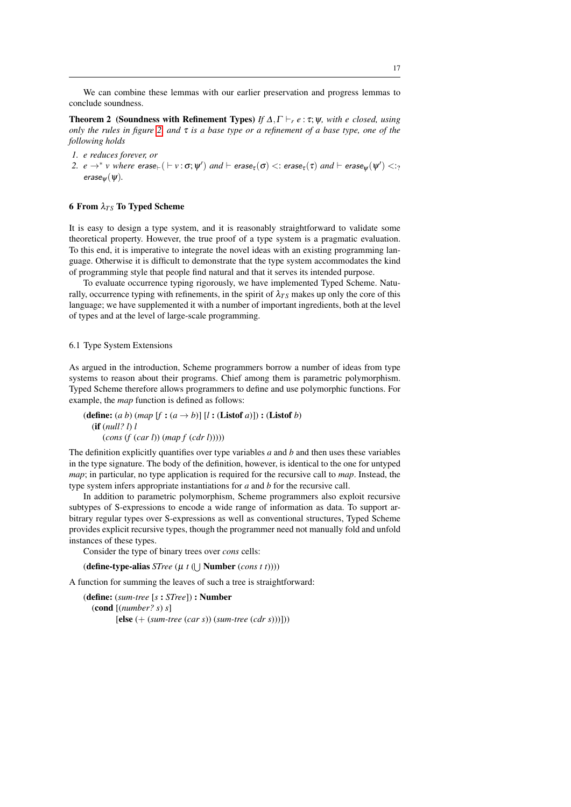We can combine these lemmas with our earlier preservation and progress lemmas to conclude soundness.

**Theorem 2** (Soundness with Refinement Types) *If*  $\Delta, \Gamma \vdash_r e : \tau; \psi$ *, with e closed, using only the rules in figure [2,](#page-8-1) and* τ *is a base type or a refinement of a base type, one of the following holds*

- *1. e reduces forever, or*
- $2.$   $e\to^* v$  where  $\mathsf{erase}_\vdash(\vdash v:\sigma;\psi')$  and  $\vdash \mathsf{erase}_\tau(\sigma)<:\mathsf{erase}_\tau(\tau)$  and  $\vdash \mathsf{erase}_\psi(\psi')<:\gamma'$  $erase<sub>w</sub>(*ψ*).$

## 6 From  $λ_{TS}$  To Typed Scheme

It is easy to design a type system, and it is reasonably straightforward to validate some theoretical property. However, the true proof of a type system is a pragmatic evaluation. To this end, it is imperative to integrate the novel ideas with an existing programming language. Otherwise it is difficult to demonstrate that the type system accommodates the kind of programming style that people find natural and that it serves its intended purpose.

To evaluate occurrence typing rigorously, we have implemented Typed Scheme. Naturally, occurrence typing with refinements, in the spirit of  $\lambda_{TS}$  makes up only the core of this language; we have supplemented it with a number of important ingredients, both at the level of types and at the level of large-scale programming.

#### 6.1 Type System Extensions

As argued in the introduction, Scheme programmers borrow a number of ideas from type systems to reason about their programs. Chief among them is parametric polymorphism. Typed Scheme therefore allows programmers to define and use polymorphic functions. For example, the *map* function is defined as follows:

(define:  $(a\ b)$  (*map*  $[f:(a \rightarrow b)]$   $[l:(\text{Listof }a)]$ ) : (Listof *b*) (if (*null? l*) *l* (*cons* (*f* (*car l*)) (*map f* (*cdr l*)))))

The definition explicitly quantifies over type variables *a* and *b* and then uses these variables in the type signature. The body of the definition, however, is identical to the one for untyped *map*; in particular, no type application is required for the recursive call to *map*. Instead, the type system infers appropriate instantiations for *a* and *b* for the recursive call.

In addition to parametric polymorphism, Scheme programmers also exploit recursive subtypes of S-expressions to encode a wide range of information as data. To support arbitrary regular types over S-expressions as well as conventional structures, Typed Scheme provides explicit recursive types, though the programmer need not manually fold and unfold instances of these types.

Consider the type of binary trees over *cons* cells:

**(define-type-alias** *STree* (μ *t* (∪ **Number** (*cons t t*))))

A function for summing the leaves of such a tree is straightforward:

(define: (*sum-tree* [*s* : *STree*]) : Number (cond [(*number? s*) *s*] [else (+ (*sum-tree* (*car s*)) (*sum-tree* (*cdr s*)))]))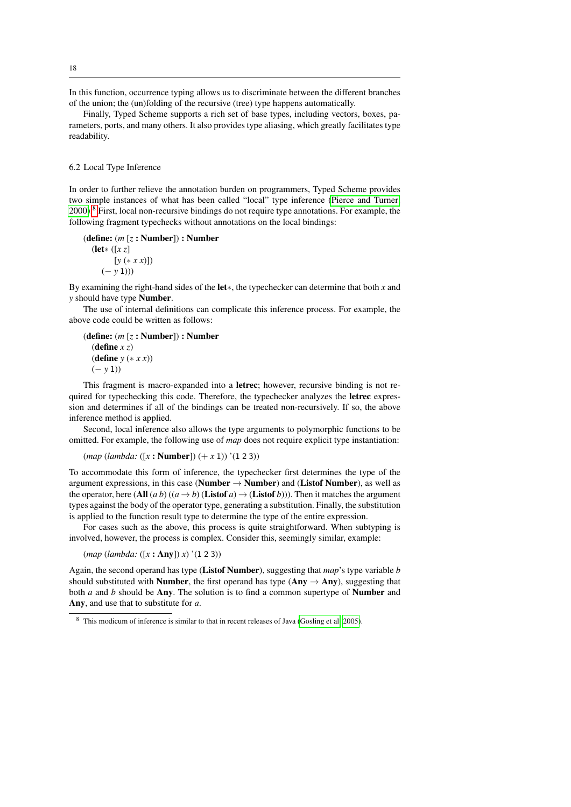In this function, occurrence typing allows us to discriminate between the different branches of the union; the (un)folding of the recursive (tree) type happens automatically.

Finally, Typed Scheme supports a rich set of base types, including vectors, boxes, parameters, ports, and many others. It also provides type aliasing, which greatly facilitates type readability.

6.2 Local Type Inference

In order to further relieve the annotation burden on programmers, Typed Scheme provides two simple instances of what has been called "local" type inference [\(Pierce and Turner,](#page-32-12) [2000\)](#page-32-12).[8](#page-17-0) First, local non-recursive bindings do not require type annotations. For example, the following fragment typechecks without annotations on the local bindings:

(define: (*m* [*z* : Number]) : Number

(let∗ ([*x z*] [*y* (∗ *x x*)]) (− *y* 1)))

By examining the right-hand sides of the let∗, the typechecker can determine that both *x* and *y* should have type Number.

The use of internal definitions can complicate this inference process. For example, the above code could be written as follows:

(define: (*m* [*z* : Number]) : Number (define *x z*) (define *y* (∗ *x x*)) (− *y* 1))

This fragment is macro-expanded into a letrec; however, recursive binding is not required for typechecking this code. Therefore, the typechecker analyzes the letrec expression and determines if all of the bindings can be treated non-recursively. If so, the above inference method is applied.

Second, local inference also allows the type arguments to polymorphic functions to be omitted. For example, the following use of *map* does not require explicit type instantiation:

(*map* (*lambda:* ([*x* : Number]) (+ *x* 1)) '(1 2 3))

To accommodate this form of inference, the typechecker first determines the type of the argument expressions, in this case (Number  $\rightarrow$  Number) and (Listof Number), as well as the operator, here (All  $(a b) ((a \rightarrow b)$  (Listof  $a) \rightarrow$  (Listof *b*))). Then it matches the argument types against the body of the operator type, generating a substitution. Finally, the substitution is applied to the function result type to determine the type of the entire expression.

For cases such as the above, this process is quite straightforward. When subtyping is involved, however, the process is complex. Consider this, seemingly similar, example:

(*map* (*lambda:* ([*x* : Any]) *x*) '(1 2 3))

Again, the second operand has type (Listof Number), suggesting that *map*'s type variable *b* should substituted with **Number**, the first operand has type ( $Any \rightarrow Any$ ), suggesting that both *a* and *b* should be Any. The solution is to find a common supertype of Number and Any, and use that to substitute for *a*.

18

<span id="page-17-0"></span><sup>8</sup> This modicum of inference is similar to that in recent releases of Java [\(Gosling et al, 2005\)](#page-31-5).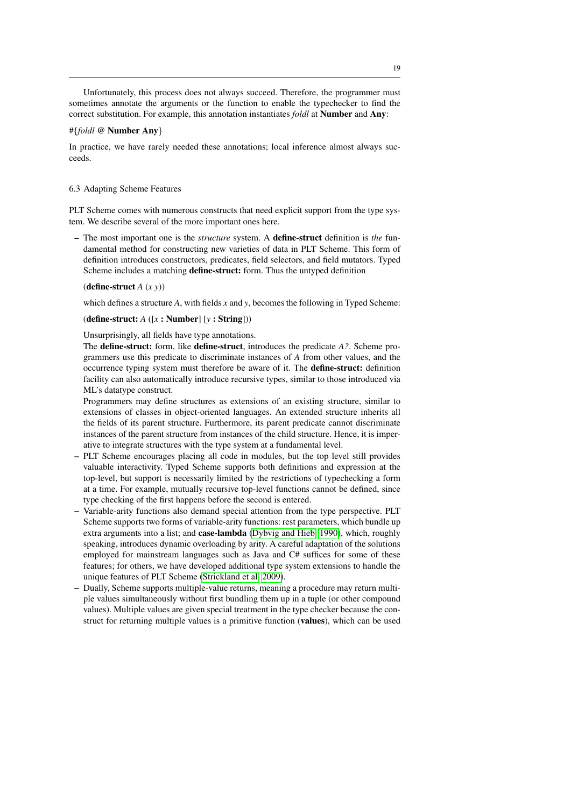Unfortunately, this process does not always succeed. Therefore, the programmer must sometimes annotate the arguments or the function to enable the typechecker to find the correct substitution. For example, this annotation instantiates *foldl* at Number and Any:

#### #{*foldl* @ Number Any}

In practice, we have rarely needed these annotations; local inference almost always succeeds.

## 6.3 Adapting Scheme Features

PLT Scheme comes with numerous constructs that need explicit support from the type system. We describe several of the more important ones here.

– The most important one is the *structure* system. A define-struct definition is *the* fundamental method for constructing new varieties of data in PLT Scheme. This form of definition introduces constructors, predicates, field selectors, and field mutators. Typed Scheme includes a matching define-struct: form. Thus the untyped definition

#### (define-struct *A* (*x y*))

which defines a structure *A*, with fields *x* and *y*, becomes the following in Typed Scheme:

## (define-struct: *A* ([*x* : Number] [*y* : String]))

#### Unsurprisingly, all fields have type annotations.

The define-struct: form, like define-struct, introduces the predicate *A?*. Scheme programmers use this predicate to discriminate instances of *A* from other values, and the occurrence typing system must therefore be aware of it. The define-struct: definition facility can also automatically introduce recursive types, similar to those introduced via ML's datatype construct.

Programmers may define structures as extensions of an existing structure, similar to extensions of classes in object-oriented languages. An extended structure inherits all the fields of its parent structure. Furthermore, its parent predicate cannot discriminate instances of the parent structure from instances of the child structure. Hence, it is imperative to integrate structures with the type system at a fundamental level.

- PLT Scheme encourages placing all code in modules, but the top level still provides valuable interactivity. Typed Scheme supports both definitions and expression at the top-level, but support is necessarily limited by the restrictions of typechecking a form at a time. For example, mutually recursive top-level functions cannot be defined, since type checking of the first happens before the second is entered.
- Variable-arity functions also demand special attention from the type perspective. PLT Scheme supports two forms of variable-arity functions: rest parameters, which bundle up extra arguments into a list; and case-lambda [\(Dybvig and Hieb, 1990\)](#page-30-7), which, roughly speaking, introduces dynamic overloading by arity. A careful adaptation of the solutions employed for mainstream languages such as Java and C# suffices for some of these features; for others, we have developed additional type system extensions to handle the unique features of PLT Scheme [\(Strickland et al, 2009\)](#page-32-7).
- Dually, Scheme supports multiple-value returns, meaning a procedure may return multiple values simultaneously without first bundling them up in a tuple (or other compound values). Multiple values are given special treatment in the type checker because the construct for returning multiple values is a primitive function (values), which can be used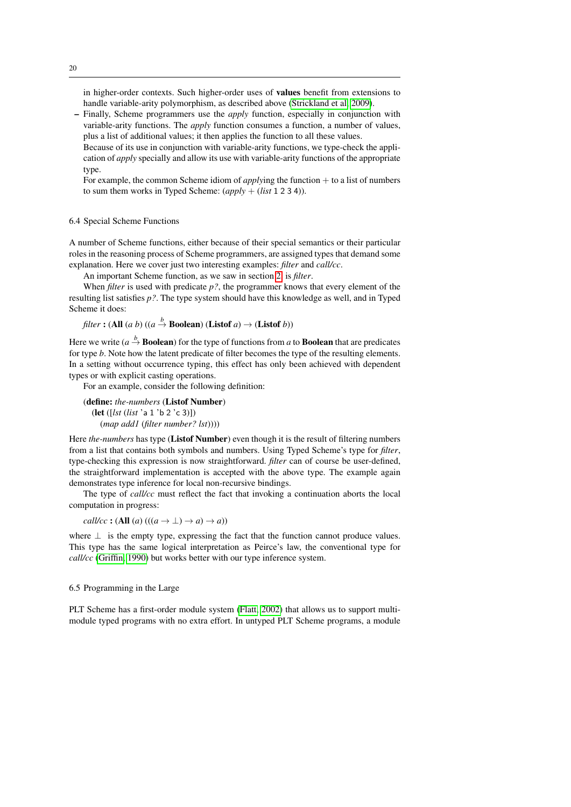in higher-order contexts. Such higher-order uses of values benefit from extensions to handle variable-arity polymorphism, as described above [\(Strickland et al, 2009\)](#page-32-7).

- Finally, Scheme programmers use the *apply* function, especially in conjunction with variable-arity functions. The *apply* function consumes a function, a number of values, plus a list of additional values; it then applies the function to all these values.
- Because of its use in conjunction with variable-arity functions, we type-check the application of *apply* specially and allow its use with variable-arity functions of the appropriate type.

For example, the common Scheme idiom of *applying* the function + to a list of numbers to sum them works in Typed Scheme: (*apply* + (*list* 1 2 3 4)).

## 6.4 Special Scheme Functions

A number of Scheme functions, either because of their special semantics or their particular roles in the reasoning process of Scheme programmers, are assigned types that demand some explanation. Here we cover just two interesting examples: *filter* and *call/cc*.

An important Scheme function, as we saw in section [2,](#page-2-1) is *filter*.

When *filter* is used with predicate *p?*, the programmer knows that every element of the resulting list satisfies *p?*. The type system should have this knowledge as well, and in Typed Scheme it does:

*filter* : (All (*a b*) ((*a*  $\stackrel{b}{\rightarrow}$  Boolean) (Listof *a*)  $\rightarrow$  (Listof *b*))

Here we write  $(a \stackrel{b}{\rightarrow}$  **Boolean**) for the type of functions from *a* to **Boolean** that are predicates for type *b*. Note how the latent predicate of filter becomes the type of the resulting elements. In a setting without occurrence typing, this effect has only been achieved with dependent types or with explicit casting operations.

For an example, consider the following definition:

(define: *the-numbers* (Listof Number) (let ([*lst* (*list* 'a 1 'b 2 'c 3)]) (*map add1* (*filter number? lst*))))

Here *the-numbers* has type (Listof Number) even though it is the result of filtering numbers from a list that contains both symbols and numbers. Using Typed Scheme's type for *filter*, type-checking this expression is now straightforward. *filter* can of course be user-defined, the straightforward implementation is accepted with the above type. The example again demonstrates type inference for local non-recursive bindings.

The type of *call/cc* must reflect the fact that invoking a continuation aborts the local computation in progress:

*call/cc* : (All  $(a)$  (( $(a \rightarrow \bot) \rightarrow a$ )  $\rightarrow a$ ))

where  $\perp$  is the empty type, expressing the fact that the function cannot produce values. This type has the same logical interpretation as Peirce's law, the conventional type for *call/cc* [\(Griffin, 1990\)](#page-31-6) but works better with our type inference system.

6.5 Programming in the Large

PLT Scheme has a first-order module system [\(Flatt, 2002\)](#page-30-1) that allows us to support multimodule typed programs with no extra effort. In untyped PLT Scheme programs, a module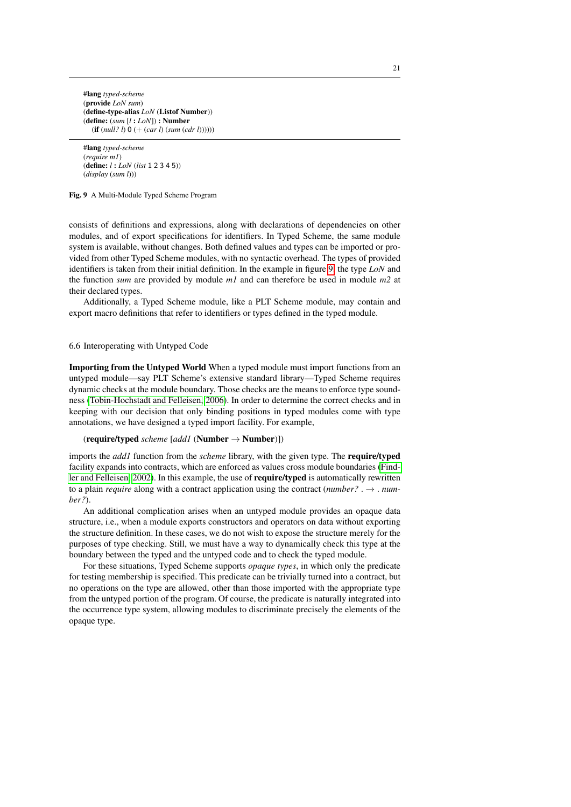#lang *typed-scheme* (provide *LoN sum*) (define-type-alias *LoN* (Listof Number)) (define: (*sum* [*l* : *LoN*]) : Number (if (*null? l*) 0 (+ (*car l*) (*sum* (*cdr l*))))))

#lang *typed-scheme* (*require m1*) (define: *l* : *LoN* (*list* 1 2 3 4 5)) (*display* (*sum l*)))

<span id="page-20-0"></span>Fig. 9 A Multi-Module Typed Scheme Program

consists of definitions and expressions, along with declarations of dependencies on other modules, and of export specifications for identifiers. In Typed Scheme, the same module system is available, without changes. Both defined values and types can be imported or provided from other Typed Scheme modules, with no syntactic overhead. The types of provided identifiers is taken from their initial definition. In the example in figure [9,](#page-20-0) the type *LoN* and the function *sum* are provided by module *m1* and can therefore be used in module *m2* at their declared types.

Additionally, a Typed Scheme module, like a PLT Scheme module, may contain and export macro definitions that refer to identifiers or types defined in the typed module.

#### 6.6 Interoperating with Untyped Code

Importing from the Untyped World When a typed module must import functions from an untyped module—say PLT Scheme's extensive standard library—Typed Scheme requires dynamic checks at the module boundary. Those checks are the means to enforce type soundness [\(Tobin-Hochstadt and Felleisen, 2006\)](#page-32-2). In order to determine the correct checks and in keeping with our decision that only binding positions in typed modules come with type annotations, we have designed a typed import facility. For example,

#### (require/typed *scheme* [*add1* (Number → Number)])

imports the *add1* function from the *scheme* library, with the given type. The require/typed facility expands into contracts, which are enforced as values cross module boundaries [\(Find](#page-30-5)[ler and Felleisen, 2002\)](#page-30-5). In this example, the use of require/typed is automatically rewritten to a plain *require* along with a contract application using the contract (*number?* .  $\rightarrow$  . *number?*).

An additional complication arises when an untyped module provides an opaque data structure, i.e., when a module exports constructors and operators on data without exporting the structure definition. In these cases, we do not wish to expose the structure merely for the purposes of type checking. Still, we must have a way to dynamically check this type at the boundary between the typed and the untyped code and to check the typed module.

For these situations, Typed Scheme supports *opaque types*, in which only the predicate for testing membership is specified. This predicate can be trivially turned into a contract, but no operations on the type are allowed, other than those imported with the appropriate type from the untyped portion of the program. Of course, the predicate is naturally integrated into the occurrence type system, allowing modules to discriminate precisely the elements of the opaque type.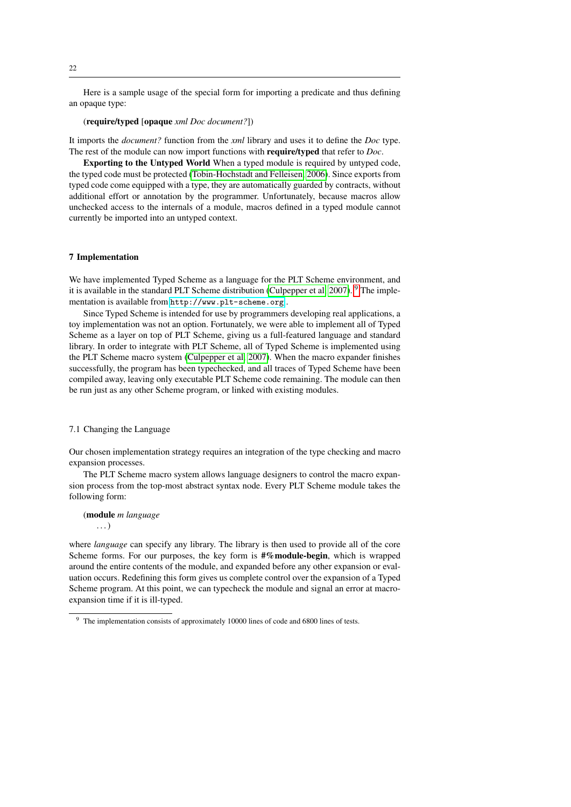Here is a sample usage of the special form for importing a predicate and thus defining an opaque type:

## (require/typed [opaque *xml Doc document?*])

It imports the *document?* function from the *xml* library and uses it to define the *Doc* type. The rest of the module can now import functions with require/typed that refer to *Doc*.

Exporting to the Untyped World When a typed module is required by untyped code, the typed code must be protected [\(Tobin-Hochstadt and Felleisen, 2006\)](#page-32-2). Since exports from typed code come equipped with a type, they are automatically guarded by contracts, without additional effort or annotation by the programmer. Unfortunately, because macros allow unchecked access to the internals of a module, macros defined in a typed module cannot currently be imported into an untyped context.

## 7 Implementation

We have implemented Typed Scheme as a language for the PLT Scheme environment, and it is available in the standard PLT Scheme distribution [\(Culpepper et al, 2007\)](#page-30-8). <sup>[9](#page-21-0)</sup> The implementation is available from <http://www.plt-scheme.org> .

Since Typed Scheme is intended for use by programmers developing real applications, a toy implementation was not an option. Fortunately, we were able to implement all of Typed Scheme as a layer on top of PLT Scheme, giving us a full-featured language and standard library. In order to integrate with PLT Scheme, all of Typed Scheme is implemented using the PLT Scheme macro system [\(Culpepper et al, 2007\)](#page-30-8). When the macro expander finishes successfully, the program has been typechecked, and all traces of Typed Scheme have been compiled away, leaving only executable PLT Scheme code remaining. The module can then be run just as any other Scheme program, or linked with existing modules.

#### 7.1 Changing the Language

Our chosen implementation strategy requires an integration of the type checking and macro expansion processes.

The PLT Scheme macro system allows language designers to control the macro expansion process from the top-most abstract syntax node. Every PLT Scheme module takes the following form:

# (module *m language*

. . . )

where *language* can specify any library. The library is then used to provide all of the core Scheme forms. For our purposes, the key form is  $\frac{4}{3}$  module-begin, which is wrapped around the entire contents of the module, and expanded before any other expansion or evaluation occurs. Redefining this form gives us complete control over the expansion of a Typed Scheme program. At this point, we can typecheck the module and signal an error at macroexpansion time if it is ill-typed.

<span id="page-21-0"></span><sup>&</sup>lt;sup>9</sup> The implementation consists of approximately 10000 lines of code and 6800 lines of tests.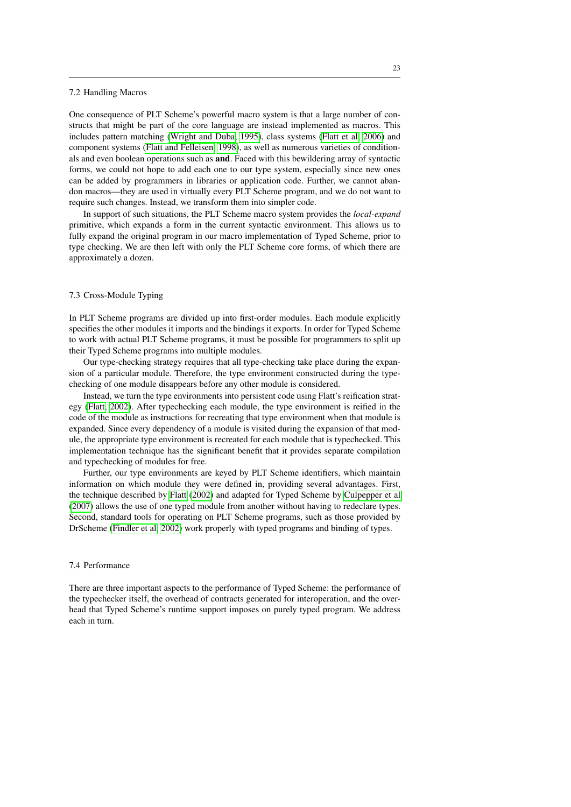#### 7.2 Handling Macros

One consequence of PLT Scheme's powerful macro system is that a large number of constructs that might be part of the core language are instead implemented as macros. This includes pattern matching [\(Wright and Duba, 1995\)](#page-32-13), class systems [\(Flatt et al, 2006\)](#page-30-4) and component systems [\(Flatt and Felleisen, 1998\)](#page-30-9), as well as numerous varieties of conditionals and even boolean operations such as and. Faced with this bewildering array of syntactic forms, we could not hope to add each one to our type system, especially since new ones can be added by programmers in libraries or application code. Further, we cannot abandon macros—they are used in virtually every PLT Scheme program, and we do not want to require such changes. Instead, we transform them into simpler code.

In support of such situations, the PLT Scheme macro system provides the *local-expand* primitive, which expands a form in the current syntactic environment. This allows us to fully expand the original program in our macro implementation of Typed Scheme, prior to type checking. We are then left with only the PLT Scheme core forms, of which there are approximately a dozen.

#### 7.3 Cross-Module Typing

In PLT Scheme programs are divided up into first-order modules. Each module explicitly specifies the other modules it imports and the bindings it exports. In order for Typed Scheme to work with actual PLT Scheme programs, it must be possible for programmers to split up their Typed Scheme programs into multiple modules.

Our type-checking strategy requires that all type-checking take place during the expansion of a particular module. Therefore, the type environment constructed during the typechecking of one module disappears before any other module is considered.

Instead, we turn the type environments into persistent code using Flatt's reification strategy [\(Flatt, 2002\)](#page-30-1). After typechecking each module, the type environment is reified in the code of the module as instructions for recreating that type environment when that module is expanded. Since every dependency of a module is visited during the expansion of that module, the appropriate type environment is recreated for each module that is typechecked. This implementation technique has the significant benefit that it provides separate compilation and typechecking of modules for free.

Further, our type environments are keyed by PLT Scheme identifiers, which maintain information on which module they were defined in, providing several advantages. First, the technique described by [Flatt](#page-30-1) [\(2002\)](#page-30-1) and adapted for Typed Scheme by [Culpepper et al](#page-30-8) [\(2007\)](#page-30-8) allows the use of one typed module from another without having to redeclare types. Second, standard tools for operating on PLT Scheme programs, such as those provided by DrScheme [\(Findler et al, 2002\)](#page-30-10) work properly with typed programs and binding of types.

## 7.4 Performance

There are three important aspects to the performance of Typed Scheme: the performance of the typechecker itself, the overhead of contracts generated for interoperation, and the overhead that Typed Scheme's runtime support imposes on purely typed program. We address each in turn.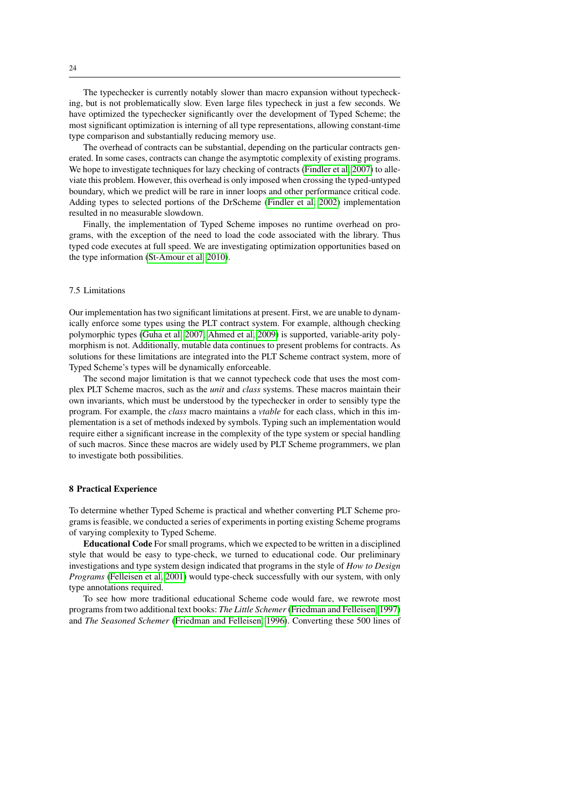The typechecker is currently notably slower than macro expansion without typechecking, but is not problematically slow. Even large files typecheck in just a few seconds. We have optimized the typechecker significantly over the development of Typed Scheme; the most significant optimization is interning of all type representations, allowing constant-time type comparison and substantially reducing memory use.

The overhead of contracts can be substantial, depending on the particular contracts generated. In some cases, contracts can change the asymptotic complexity of existing programs. We hope to investigate techniques for lazy checking of contracts [\(Findler et al, 2007\)](#page-30-11) to alleviate this problem. However, this overhead is only imposed when crossing the typed-untyped boundary, which we predict will be rare in inner loops and other performance critical code. Adding types to selected portions of the DrScheme [\(Findler et al, 2002\)](#page-30-10) implementation resulted in no measurable slowdown.

Finally, the implementation of Typed Scheme imposes no runtime overhead on programs, with the exception of the need to load the code associated with the library. Thus typed code executes at full speed. We are investigating optimization opportunities based on the type information [\(St-Amour et al, 2010\)](#page-32-14).

## 7.5 Limitations

Our implementation has two significant limitations at present. First, we are unable to dynamically enforce some types using the PLT contract system. For example, although checking polymorphic types [\(Guha et al, 2007;](#page-31-7) [Ahmed et al, 2009\)](#page-29-0) is supported, variable-arity polymorphism is not. Additionally, mutable data continues to present problems for contracts. As solutions for these limitations are integrated into the PLT Scheme contract system, more of Typed Scheme's types will be dynamically enforceable.

The second major limitation is that we cannot typecheck code that uses the most complex PLT Scheme macros, such as the *unit* and *class* systems. These macros maintain their own invariants, which must be understood by the typechecker in order to sensibly type the program. For example, the *class* macro maintains a *vtable* for each class, which in this implementation is a set of methods indexed by symbols. Typing such an implementation would require either a significant increase in the complexity of the type system or special handling of such macros. Since these macros are widely used by PLT Scheme programmers, we plan to investigate both possibilities.

## <span id="page-23-0"></span>8 Practical Experience

To determine whether Typed Scheme is practical and whether converting PLT Scheme programs is feasible, we conducted a series of experiments in porting existing Scheme programs of varying complexity to Typed Scheme.

Educational Code For small programs, which we expected to be written in a disciplined style that would be easy to type-check, we turned to educational code. Our preliminary investigations and type system design indicated that programs in the style of *How to Design Programs* [\(Felleisen et al, 2001\)](#page-30-2) would type-check successfully with our system, with only type annotations required.

To see how more traditional educational Scheme code would fare, we rewrote most programs from two additional text books: *The Little Schemer* [\(Friedman and Felleisen, 1997\)](#page-31-8) and *The Seasoned Schemer* [\(Friedman and Felleisen, 1996\)](#page-30-12). Converting these 500 lines of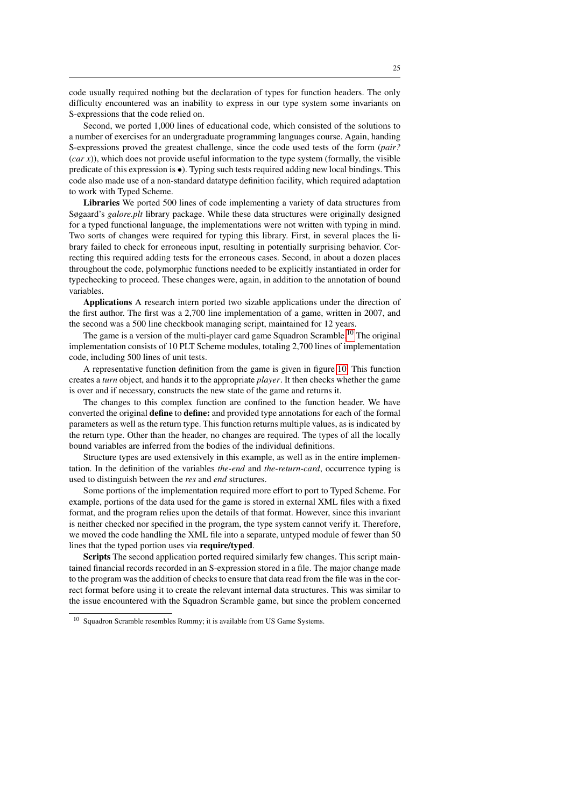code usually required nothing but the declaration of types for function headers. The only difficulty encountered was an inability to express in our type system some invariants on S-expressions that the code relied on.

Second, we ported 1,000 lines of educational code, which consisted of the solutions to a number of exercises for an undergraduate programming languages course. Again, handing S-expressions proved the greatest challenge, since the code used tests of the form (*pair?*  $(car x)$ ), which does not provide useful information to the type system (formally, the visible predicate of this expression is •). Typing such tests required adding new local bindings. This code also made use of a non-standard datatype definition facility, which required adaptation to work with Typed Scheme.

Libraries We ported 500 lines of code implementing a variety of data structures from Søgaard's *galore.plt* library package. While these data structures were originally designed for a typed functional language, the implementations were not written with typing in mind. Two sorts of changes were required for typing this library. First, in several places the library failed to check for erroneous input, resulting in potentially surprising behavior. Correcting this required adding tests for the erroneous cases. Second, in about a dozen places throughout the code, polymorphic functions needed to be explicitly instantiated in order for typechecking to proceed. These changes were, again, in addition to the annotation of bound variables.

Applications A research intern ported two sizable applications under the direction of the first author. The first was a 2,700 line implementation of a game, written in 2007, and the second was a 500 line checkbook managing script, maintained for 12 years.

The game is a version of the multi-player card game Squadron Scramble.<sup>[10](#page-24-0)</sup> The original implementation consists of 10 PLT Scheme modules, totaling 2,700 lines of implementation code, including 500 lines of unit tests.

A representative function definition from the game is given in figure [10.](#page-25-0) This function creates a *turn* object, and hands it to the appropriate *player*. It then checks whether the game is over and if necessary, constructs the new state of the game and returns it.

The changes to this complex function are confined to the function header. We have converted the original **define** to **define:** and provided type annotations for each of the formal parameters as well as the return type. This function returns multiple values, as is indicated by the return type. Other than the header, no changes are required. The types of all the locally bound variables are inferred from the bodies of the individual definitions.

Structure types are used extensively in this example, as well as in the entire implementation. In the definition of the variables *the-end* and *the-return-card*, occurrence typing is used to distinguish between the *res* and *end* structures.

Some portions of the implementation required more effort to port to Typed Scheme. For example, portions of the data used for the game is stored in external XML files with a fixed format, and the program relies upon the details of that format. However, since this invariant is neither checked nor specified in the program, the type system cannot verify it. Therefore, we moved the code handling the XML file into a separate, untyped module of fewer than 50 lines that the typed portion uses via require/typed.

Scripts The second application ported required similarly few changes. This script maintained financial records recorded in an S-expression stored in a file. The major change made to the program was the addition of checks to ensure that data read from the file was in the correct format before using it to create the relevant internal data structures. This was similar to the issue encountered with the Squadron Scramble game, but since the problem concerned

<span id="page-24-0"></span><sup>&</sup>lt;sup>10</sup> Squadron Scramble resembles Rummy; it is available from US Game Systems.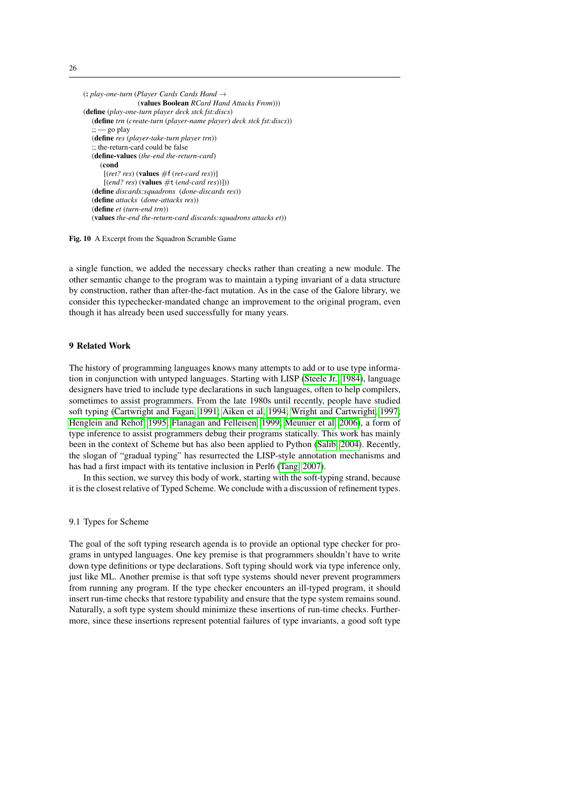```
(: play-one-turn (Player Cards Cards Hand →
                 (values Boolean RCard Hand Attacks From)))
(define (play-one-turn player deck stck fst:discs)
   (define trn (create-turn (player-name player) deck stck fst:discs))
   :: - go play
   (define res (player-take-turn player trn))
   ;; the-return-card could be false
   (define-values (the-end the-return-card)
     (cond
      [(ret? res) (values #f (ret-card res))]
      [(end? res) (values #t (end-card res))]))
   (define discards:squadrons (done-discards res))
   (define attacks (done-attacks res))
   (define et (turn-end trn))
   (values the-end the-return-card discards:squadrons attacks et))
```
<span id="page-25-0"></span>Fig. 10 A Excerpt from the Squadron Scramble Game

a single function, we added the necessary checks rather than creating a new module. The other semantic change to the program was to maintain a typing invariant of a data structure by construction, rather than after-the-fact mutation. As in the case of the Galore library, we consider this typechecker-mandated change an improvement to the original program, even though it has already been used successfully for many years.

#### 9 Related Work

The history of programming languages knows many attempts to add or to use type information in conjunction with untyped languages. Starting with LISP [\(Steele Jr., 1984\)](#page-32-1), language designers have tried to include type declarations in such languages, often to help compilers, sometimes to assist programmers. From the late 1980s until recently, people have studied soft typing [\(Cartwright and Fagan, 1991;](#page-30-13) [Aiken et al, 1994;](#page-29-1) [Wright and Cartwright, 1997;](#page-33-1) [Henglein and Rehof, 1995;](#page-31-9) [Flanagan and Felleisen, 1999;](#page-30-14) [Meunier et al, 2006\)](#page-31-10), a form of type inference to assist programmers debug their programs statically. This work has mainly been in the context of Scheme but has also been applied to Python [\(Salib, 2004\)](#page-32-15). Recently, the slogan of "gradual typing" has resurrected the LISP-style annotation mechanisms and has had a first impact with its tentative inclusion in Perl6 [\(Tang, 2007\)](#page-32-0).

In this section, we survey this body of work, starting with the soft-typing strand, because it is the closest relative of Typed Scheme. We conclude with a discussion of refinement types.

## 9.1 Types for Scheme

The goal of the soft typing research agenda is to provide an optional type checker for programs in untyped languages. One key premise is that programmers shouldn't have to write down type definitions or type declarations. Soft typing should work via type inference only, just like ML. Another premise is that soft type systems should never prevent programmers from running any program. If the type checker encounters an ill-typed program, it should insert run-time checks that restore typability and ensure that the type system remains sound. Naturally, a soft type system should minimize these insertions of run-time checks. Furthermore, since these insertions represent potential failures of type invariants, a good soft type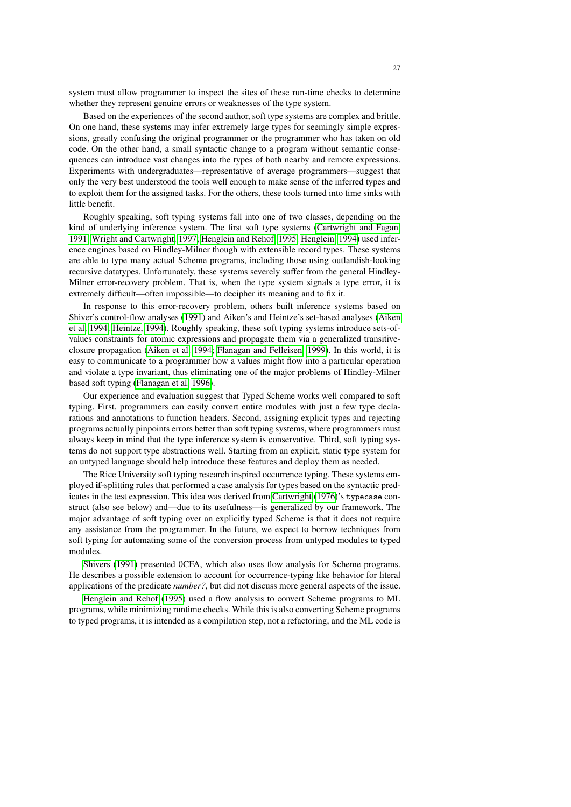system must allow programmer to inspect the sites of these run-time checks to determine whether they represent genuine errors or weaknesses of the type system.

Based on the experiences of the second author, soft type systems are complex and brittle. On one hand, these systems may infer extremely large types for seemingly simple expressions, greatly confusing the original programmer or the programmer who has taken on old code. On the other hand, a small syntactic change to a program without semantic consequences can introduce vast changes into the types of both nearby and remote expressions. Experiments with undergraduates—representative of average programmers—suggest that only the very best understood the tools well enough to make sense of the inferred types and to exploit them for the assigned tasks. For the others, these tools turned into time sinks with little benefit.

Roughly speaking, soft typing systems fall into one of two classes, depending on the kind of underlying inference system. The first soft type systems [\(Cartwright and Fagan,](#page-30-13) [1991;](#page-30-13) [Wright and Cartwright, 1997;](#page-33-1) [Henglein and Rehof, 1995;](#page-31-9) [Henglein, 1994\)](#page-31-11) used inference engines based on Hindley-Milner though with extensible record types. These systems are able to type many actual Scheme programs, including those using outlandish-looking recursive datatypes. Unfortunately, these systems severely suffer from the general Hindley-Milner error-recovery problem. That is, when the type system signals a type error, it is extremely difficult—often impossible—to decipher its meaning and to fix it.

In response to this error-recovery problem, others built inference systems based on Shiver's control-flow analyses [\(1991\)](#page-32-16) and Aiken's and Heintze's set-based analyses [\(Aiken](#page-29-1) [et al, 1994;](#page-29-1) [Heintze, 1994\)](#page-31-12). Roughly speaking, these soft typing systems introduce sets-ofvalues constraints for atomic expressions and propagate them via a generalized transitiveclosure propagation [\(Aiken et al, 1994;](#page-29-1) [Flanagan and Felleisen, 1999\)](#page-30-14). In this world, it is easy to communicate to a programmer how a values might flow into a particular operation and violate a type invariant, thus eliminating one of the major problems of Hindley-Milner based soft typing [\(Flanagan et al, 1996\)](#page-30-15).

Our experience and evaluation suggest that Typed Scheme works well compared to soft typing. First, programmers can easily convert entire modules with just a few type declarations and annotations to function headers. Second, assigning explicit types and rejecting programs actually pinpoints errors better than soft typing systems, where programmers must always keep in mind that the type inference system is conservative. Third, soft typing systems do not support type abstractions well. Starting from an explicit, static type system for an untyped language should help introduce these features and deploy them as needed.

The Rice University soft typing research inspired occurrence typing. These systems employed if-splitting rules that performed a case analysis for types based on the syntactic predicates in the test expression. This idea was derived from [Cartwright](#page-30-16) [\(1976\)](#page-30-16)'s typecase construct (also see below) and—due to its usefulness—is generalized by our framework. The major advantage of soft typing over an explicitly typed Scheme is that it does not require any assistance from the programmer. In the future, we expect to borrow techniques from soft typing for automating some of the conversion process from untyped modules to typed modules.

[Shivers](#page-32-16) [\(1991\)](#page-32-16) presented 0CFA, which also uses flow analysis for Scheme programs. He describes a possible extension to account for occurrence-typing like behavior for literal applications of the predicate *number?*, but did not discuss more general aspects of the issue.

[Henglein and Rehof](#page-31-9) [\(1995\)](#page-31-9) used a flow analysis to convert Scheme programs to ML programs, while minimizing runtime checks. While this is also converting Scheme programs to typed programs, it is intended as a compilation step, not a refactoring, and the ML code is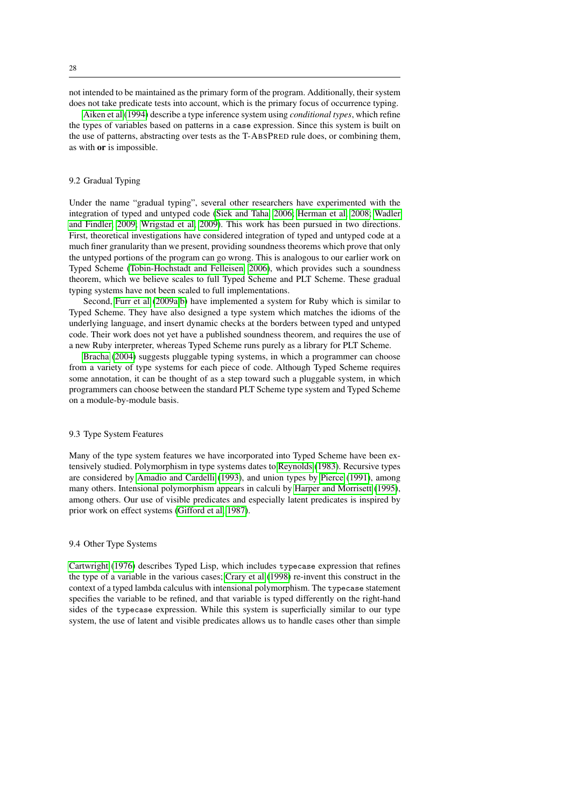not intended to be maintained as the primary form of the program. Additionally, their system does not take predicate tests into account, which is the primary focus of occurrence typing.

[Aiken et al](#page-29-1) [\(1994\)](#page-29-1) describe a type inference system using *conditional types*, which refine the types of variables based on patterns in a case expression. Since this system is built on the use of patterns, abstracting over tests as the T-ABSPRED rule does, or combining them, as with or is impossible.

#### 9.2 Gradual Typing

Under the name "gradual typing", several other researchers have experimented with the integration of typed and untyped code [\(Siek and Taha, 2006;](#page-32-17) [Herman et al, 2008;](#page-31-13) [Wadler](#page-32-4) [and Findler, 2009;](#page-32-4) [Wrigstad et al, 2009\)](#page-33-0). This work has been pursued in two directions. First, theoretical investigations have considered integration of typed and untyped code at a much finer granularity than we present, providing soundness theorems which prove that only the untyped portions of the program can go wrong. This is analogous to our earlier work on Typed Scheme [\(Tobin-Hochstadt and Felleisen, 2006\)](#page-32-2), which provides such a soundness theorem, which we believe scales to full Typed Scheme and PLT Scheme. These gradual typing systems have not been scaled to full implementations.

Second, [Furr et al](#page-31-0) [\(2009a](#page-31-0)[,b\)](#page-31-14) have implemented a system for Ruby which is similar to Typed Scheme. They have also designed a type system which matches the idioms of the underlying language, and insert dynamic checks at the borders between typed and untyped code. Their work does not yet have a published soundness theorem, and requires the use of a new Ruby interpreter, whereas Typed Scheme runs purely as a library for PLT Scheme.

[Bracha](#page-29-2) [\(2004\)](#page-29-2) suggests pluggable typing systems, in which a programmer can choose from a variety of type systems for each piece of code. Although Typed Scheme requires some annotation, it can be thought of as a step toward such a pluggable system, in which programmers can choose between the standard PLT Scheme type system and Typed Scheme on a module-by-module basis.

#### 9.3 Type System Features

Many of the type system features we have incorporated into Typed Scheme have been extensively studied. Polymorphism in type systems dates to [Reynolds](#page-32-18) [\(1983\)](#page-32-18). Recursive types are considered by [Amadio and Cardelli](#page-29-3) [\(1993\)](#page-29-3), and union types by [Pierce](#page-32-5) [\(1991\)](#page-32-5), among many others. Intensional polymorphism appears in calculi by [Harper and Morrisett](#page-31-15) [\(1995\)](#page-31-15), among others. Our use of visible predicates and especially latent predicates is inspired by prior work on effect systems [\(Gifford et al, 1987\)](#page-31-16).

## 9.4 Other Type Systems

[Cartwright](#page-30-16) [\(1976\)](#page-30-16) describes Typed Lisp, which includes typecase expression that refines the type of a variable in the various cases; [Crary et al](#page-30-6) [\(1998\)](#page-30-6) re-invent this construct in the context of a typed lambda calculus with intensional polymorphism. The typecase statement specifies the variable to be refined, and that variable is typed differently on the right-hand sides of the typecase expression. While this system is superficially similar to our type system, the use of latent and visible predicates allows us to handle cases other than simple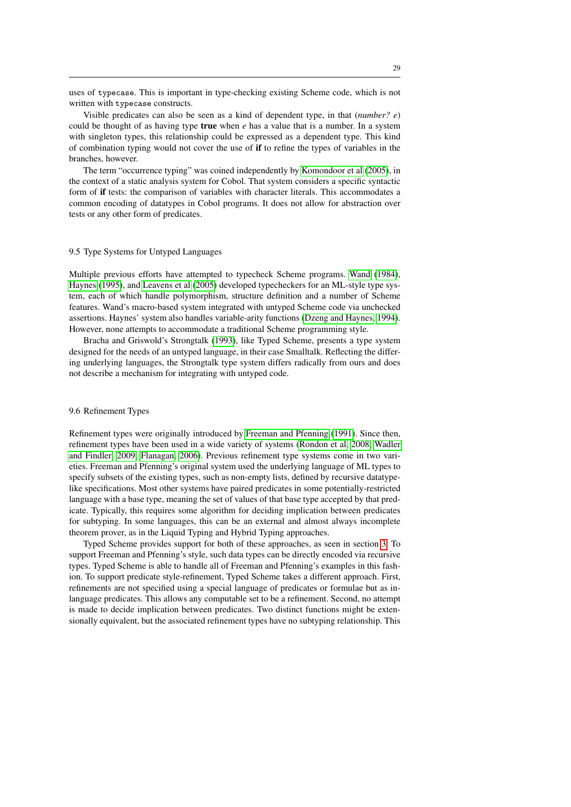uses of typecase. This is important in type-checking existing Scheme code, which is not written with typecase constructs.

Visible predicates can also be seen as a kind of dependent type, in that (*number? e*) could be thought of as having type **true** when  $e$  has a value that is a number. In a system with singleton types, this relationship could be expressed as a dependent type. This kind of combination typing would not cover the use of if to refine the types of variables in the branches, however.

The term "occurrence typing" was coined independently by [Komondoor et al](#page-31-17) [\(2005\)](#page-31-17), in the context of a static analysis system for Cobol. That system considers a specific syntactic form of if tests: the comparison of variables with character literals. This accommodates a common encoding of datatypes in Cobol programs. It does not allow for abstraction over tests or any other form of predicates.

#### 9.5 Type Systems for Untyped Languages

Multiple previous efforts have attempted to typecheck Scheme programs. [Wand](#page-32-19) [\(1984\)](#page-32-19), [Haynes](#page-31-18) [\(1995\)](#page-31-18), and [Leavens et al](#page-31-19) [\(2005\)](#page-31-19) developed typecheckers for an ML-style type system, each of which handle polymorphism, structure definition and a number of Scheme features. Wand's macro-based system integrated with untyped Scheme code via unchecked assertions. Haynes' system also handles variable-arity functions [\(Dzeng and Haynes, 1994\)](#page-30-17). However, none attempts to accommodate a traditional Scheme programming style.

Bracha and Griswold's Strongtalk [\(1993\)](#page-29-4), like Typed Scheme, presents a type system designed for the needs of an untyped language, in their case Smalltalk. Reflecting the differing underlying languages, the Strongtalk type system differs radically from ours and does not describe a mechanism for integrating with untyped code.

#### 9.6 Refinement Types

Refinement types were originally introduced by [Freeman and Pfenning](#page-30-3) [\(1991\)](#page-30-3). Since then, refinement types have been used in a wide variety of systems [\(Rondon et al, 2008;](#page-32-3) [Wadler](#page-32-4) [and Findler, 2009;](#page-32-4) [Flanagan, 2006\)](#page-30-18). Previous refinement type systems come in two varieties. Freeman and Pfenning's original system used the underlying language of ML types to specify subsets of the existing types, such as non-empty lists, defined by recursive datatypelike specifications. Most other systems have paired predicates in some potentially-restricted language with a base type, meaning the set of values of that base type accepted by that predicate. Typically, this requires some algorithm for deciding implication between predicates for subtyping. In some languages, this can be an external and almost always incomplete theorem prover, as in the Liquid Typing and Hybrid Typing approaches.

Typed Scheme provides support for both of these approaches, as seen in section [3.](#page-5-1) To support Freeman and Pfenning's style, such data types can be directly encoded via recursive types. Typed Scheme is able to handle all of Freeman and Pfenning's examples in this fashion. To support predicate style-refinement, Typed Scheme takes a different approach. First, refinements are not specified using a special language of predicates or formulae but as inlanguage predicates. This allows any computable set to be a refinement. Second, no attempt is made to decide implication between predicates. Two distinct functions might be extensionally equivalent, but the associated refinement types have no subtyping relationship. This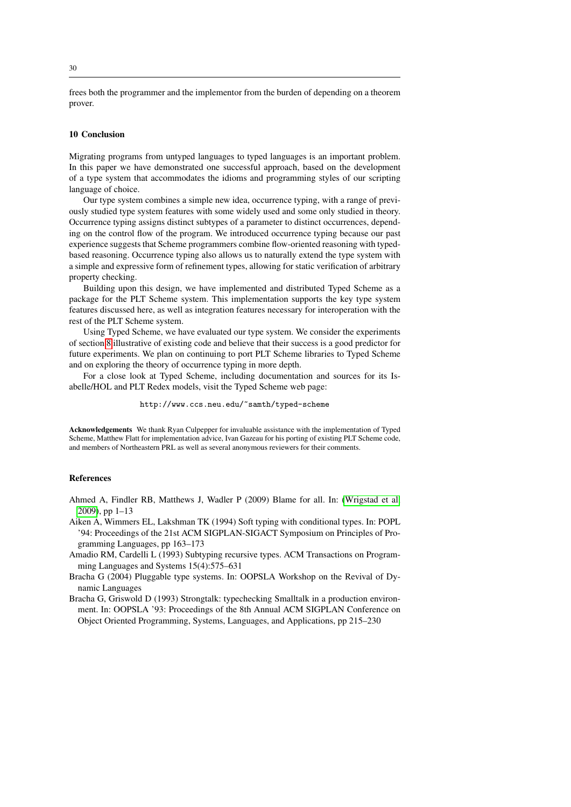frees both the programmer and the implementor from the burden of depending on a theorem prover.

#### 10 Conclusion

Migrating programs from untyped languages to typed languages is an important problem. In this paper we have demonstrated one successful approach, based on the development of a type system that accommodates the idioms and programming styles of our scripting language of choice.

Our type system combines a simple new idea, occurrence typing, with a range of previously studied type system features with some widely used and some only studied in theory. Occurrence typing assigns distinct subtypes of a parameter to distinct occurrences, depending on the control flow of the program. We introduced occurrence typing because our past experience suggests that Scheme programmers combine flow-oriented reasoning with typedbased reasoning. Occurrence typing also allows us to naturally extend the type system with a simple and expressive form of refinement types, allowing for static verification of arbitrary property checking.

Building upon this design, we have implemented and distributed Typed Scheme as a package for the PLT Scheme system. This implementation supports the key type system features discussed here, as well as integration features necessary for interoperation with the rest of the PLT Scheme system.

Using Typed Scheme, we have evaluated our type system. We consider the experiments of section [8](#page-23-0) illustrative of existing code and believe that their success is a good predictor for future experiments. We plan on continuing to port PLT Scheme libraries to Typed Scheme and on exploring the theory of occurrence typing in more depth.

For a close look at Typed Scheme, including documentation and sources for its Isabelle/HOL and PLT Redex models, visit the Typed Scheme web page:

#### http://www.ccs.neu.edu/~samth/typed-scheme

Acknowledgements We thank Ryan Culpepper for invaluable assistance with the implementation of Typed Scheme, Matthew Flatt for implementation advice, Ivan Gazeau for his porting of existing PLT Scheme code, and members of Northeastern PRL as well as several anonymous reviewers for their comments.

## References

<span id="page-29-0"></span>Ahmed A, Findler RB, Matthews J, Wadler P (2009) Blame for all. In: [\(Wrigstad et al,](#page-33-0) [2009\)](#page-33-0), pp 1–13

- <span id="page-29-1"></span>Aiken A, Wimmers EL, Lakshman TK (1994) Soft typing with conditional types. In: POPL '94: Proceedings of the 21st ACM SIGPLAN-SIGACT Symposium on Principles of Programming Languages, pp 163–173
- <span id="page-29-3"></span>Amadio RM, Cardelli L (1993) Subtyping recursive types. ACM Transactions on Programming Languages and Systems 15(4):575–631
- <span id="page-29-2"></span>Bracha G (2004) Pluggable type systems. In: OOPSLA Workshop on the Revival of Dynamic Languages
- <span id="page-29-4"></span>Bracha G, Griswold D (1993) Strongtalk: typechecking Smalltalk in a production environment. In: OOPSLA '93: Proceedings of the 8th Annual ACM SIGPLAN Conference on Object Oriented Programming, Systems, Languages, and Applications, pp 215–230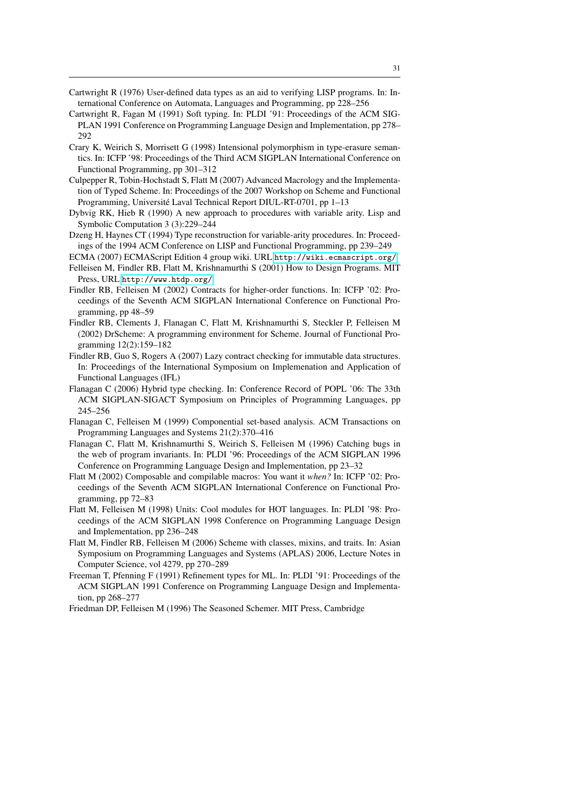- <span id="page-30-16"></span>Cartwright R (1976) User-defined data types as an aid to verifying LISP programs. In: International Conference on Automata, Languages and Programming, pp 228–256
- <span id="page-30-13"></span>Cartwright R, Fagan M (1991) Soft typing. In: PLDI '91: Proceedings of the ACM SIG-PLAN 1991 Conference on Programming Language Design and Implementation, pp 278– 292
- <span id="page-30-6"></span>Crary K, Weirich S, Morrisett G (1998) Intensional polymorphism in type-erasure semantics. In: ICFP '98: Proceedings of the Third ACM SIGPLAN International Conference on Functional Programming, pp 301–312
- <span id="page-30-8"></span>Culpepper R, Tobin-Hochstadt S, Flatt M (2007) Advanced Macrology and the Implementation of Typed Scheme. In: Proceedings of the 2007 Workshop on Scheme and Functional Programming, Université Laval Technical Report DIUL-RT-0701, pp 1-13
- <span id="page-30-7"></span>Dybvig RK, Hieb R (1990) A new approach to procedures with variable arity. Lisp and Symbolic Computation 3 (3):229–244
- <span id="page-30-17"></span>Dzeng H, Haynes CT (1994) Type reconstruction for variable-arity procedures. In: Proceedings of the 1994 ACM Conference on LISP and Functional Programming, pp 239–249
- <span id="page-30-0"></span>ECMA (2007) ECMAScript Edition 4 group wiki. URL <http://wiki.ecmascript.org/>
- <span id="page-30-2"></span>Felleisen M, Findler RB, Flatt M, Krishnamurthi S (2001) How to Design Programs. MIT Press, URL <http://www.htdp.org/>
- <span id="page-30-5"></span>Findler RB, Felleisen M (2002) Contracts for higher-order functions. In: ICFP '02: Proceedings of the Seventh ACM SIGPLAN International Conference on Functional Programming, pp 48–59
- <span id="page-30-10"></span>Findler RB, Clements J, Flanagan C, Flatt M, Krishnamurthi S, Steckler P, Felleisen M (2002) DrScheme: A programming environment for Scheme. Journal of Functional Programming 12(2):159–182
- <span id="page-30-11"></span>Findler RB, Guo S, Rogers A (2007) Lazy contract checking for immutable data structures. In: Proceedings of the International Symposium on Implemenation and Application of Functional Languages (IFL)
- <span id="page-30-18"></span>Flanagan C (2006) Hybrid type checking. In: Conference Record of POPL '06: The 33th ACM SIGPLAN-SIGACT Symposium on Principles of Programming Languages, pp 245–256
- <span id="page-30-14"></span>Flanagan C, Felleisen M (1999) Componential set-based analysis. ACM Transactions on Programming Languages and Systems 21(2):370–416
- <span id="page-30-15"></span>Flanagan C, Flatt M, Krishnamurthi S, Weirich S, Felleisen M (1996) Catching bugs in the web of program invariants. In: PLDI '96: Proceedings of the ACM SIGPLAN 1996 Conference on Programming Language Design and Implementation, pp 23–32
- <span id="page-30-1"></span>Flatt M (2002) Composable and compilable macros: You want it *when?* In: ICFP '02: Proceedings of the Seventh ACM SIGPLAN International Conference on Functional Programming, pp 72–83
- <span id="page-30-9"></span>Flatt M, Felleisen M (1998) Units: Cool modules for HOT languages. In: PLDI '98: Proceedings of the ACM SIGPLAN 1998 Conference on Programming Language Design and Implementation, pp 236–248
- <span id="page-30-4"></span>Flatt M, Findler RB, Felleisen M (2006) Scheme with classes, mixins, and traits. In: Asian Symposium on Programming Languages and Systems (APLAS) 2006, Lecture Notes in Computer Science, vol 4279, pp 270–289
- <span id="page-30-3"></span>Freeman T, Pfenning F (1991) Refinement types for ML. In: PLDI '91: Proceedings of the ACM SIGPLAN 1991 Conference on Programming Language Design and Implementation, pp 268–277
- <span id="page-30-12"></span>Friedman DP, Felleisen M (1996) The Seasoned Schemer. MIT Press, Cambridge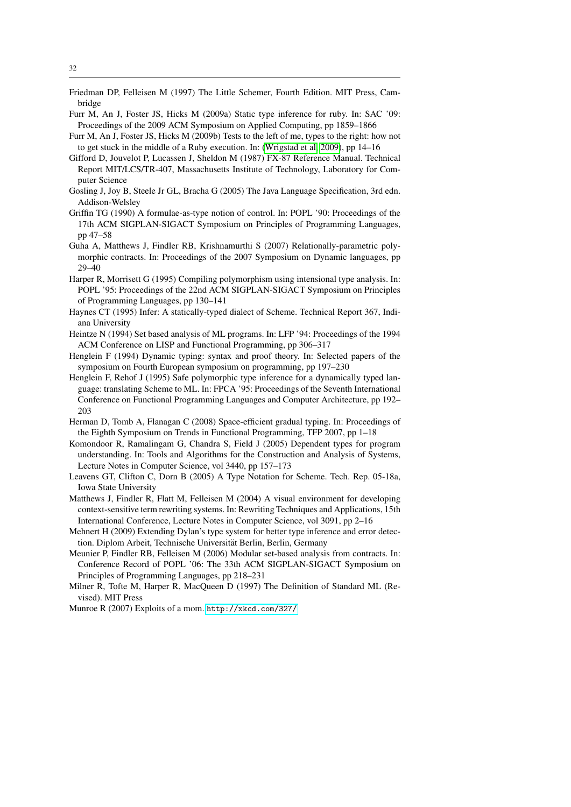- <span id="page-31-8"></span>Friedman DP, Felleisen M (1997) The Little Schemer, Fourth Edition. MIT Press, Cambridge
- <span id="page-31-0"></span>Furr M, An J, Foster JS, Hicks M (2009a) Static type inference for ruby. In: SAC '09: Proceedings of the 2009 ACM Symposium on Applied Computing, pp 1859–1866
- <span id="page-31-14"></span>Furr M, An J, Foster JS, Hicks M (2009b) Tests to the left of me, types to the right: how not to get stuck in the middle of a Ruby execution. In: [\(Wrigstad et al, 2009\)](#page-33-0), pp 14–16
- <span id="page-31-16"></span>Gifford D, Jouvelot P, Lucassen J, Sheldon M (1987) FX-87 Reference Manual. Technical Report MIT/LCS/TR-407, Massachusetts Institute of Technology, Laboratory for Computer Science
- <span id="page-31-5"></span>Gosling J, Joy B, Steele Jr GL, Bracha G (2005) The Java Language Specification, 3rd edn. Addison-Welsley
- <span id="page-31-6"></span>Griffin TG (1990) A formulae-as-type notion of control. In: POPL '90: Proceedings of the 17th ACM SIGPLAN-SIGACT Symposium on Principles of Programming Languages, pp 47–58
- <span id="page-31-7"></span>Guha A, Matthews J, Findler RB, Krishnamurthi S (2007) Relationally-parametric polymorphic contracts. In: Proceedings of the 2007 Symposium on Dynamic languages, pp 29–40
- <span id="page-31-15"></span>Harper R, Morrisett G (1995) Compiling polymorphism using intensional type analysis. In: POPL '95: Proceedings of the 22nd ACM SIGPLAN-SIGACT Symposium on Principles of Programming Languages, pp 130–141
- <span id="page-31-18"></span>Haynes CT (1995) Infer: A statically-typed dialect of Scheme. Technical Report 367, Indiana University
- <span id="page-31-12"></span>Heintze N (1994) Set based analysis of ML programs. In: LFP '94: Proceedings of the 1994 ACM Conference on LISP and Functional Programming, pp 306–317
- <span id="page-31-11"></span>Henglein F (1994) Dynamic typing: syntax and proof theory. In: Selected papers of the symposium on Fourth European symposium on programming, pp 197–230
- <span id="page-31-9"></span>Henglein F, Rehof J (1995) Safe polymorphic type inference for a dynamically typed language: translating Scheme to ML. In: FPCA '95: Proceedings of the Seventh International Conference on Functional Programming Languages and Computer Architecture, pp 192– 203
- <span id="page-31-13"></span>Herman D, Tomb A, Flanagan C (2008) Space-efficient gradual typing. In: Proceedings of the Eighth Symposium on Trends in Functional Programming, TFP 2007, pp 1–18
- <span id="page-31-17"></span>Komondoor R, Ramalingam G, Chandra S, Field J (2005) Dependent types for program understanding. In: Tools and Algorithms for the Construction and Analysis of Systems, Lecture Notes in Computer Science, vol 3440, pp 157–173
- <span id="page-31-19"></span>Leavens GT, Clifton C, Dorn B (2005) A Type Notation for Scheme. Tech. Rep. 05-18a, Iowa State University
- <span id="page-31-4"></span>Matthews J, Findler R, Flatt M, Felleisen M (2004) A visual environment for developing context-sensitive term rewriting systems. In: Rewriting Techniques and Applications, 15th International Conference, Lecture Notes in Computer Science, vol 3091, pp 2–16
- <span id="page-31-1"></span>Mehnert H (2009) Extending Dylan's type system for better type inference and error detection. Diplom Arbeit, Technische Universität Berlin, Berlin, Germany
- <span id="page-31-10"></span>Meunier P, Findler RB, Felleisen M (2006) Modular set-based analysis from contracts. In: Conference Record of POPL '06: The 33th ACM SIGPLAN-SIGACT Symposium on Principles of Programming Languages, pp 218–231
- <span id="page-31-2"></span>Milner R, Tofte M, Harper R, MacQueen D (1997) The Definition of Standard ML (Revised). MIT Press
- <span id="page-31-3"></span>Munroe R (2007) Exploits of a mom. <http://xkcd.com/327/>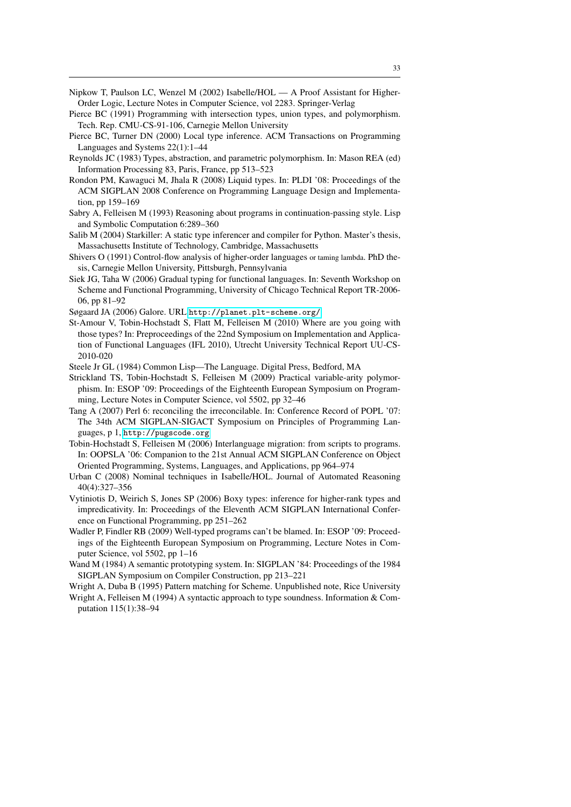- <span id="page-32-10"></span>Nipkow T, Paulson LC, Wenzel M (2002) Isabelle/HOL — A Proof Assistant for Higher-Order Logic, Lecture Notes in Computer Science, vol 2283. Springer-Verlag
- <span id="page-32-5"></span>Pierce BC (1991) Programming with intersection types, union types, and polymorphism. Tech. Rep. CMU-CS-91-106, Carnegie Mellon University
- <span id="page-32-12"></span>Pierce BC, Turner DN (2000) Local type inference. ACM Transactions on Programming Languages and Systems 22(1):1–44
- <span id="page-32-18"></span>Reynolds JC (1983) Types, abstraction, and parametric polymorphism. In: Mason REA (ed) Information Processing 83, Paris, France, pp 513–523
- <span id="page-32-3"></span>Rondon PM, Kawaguci M, Jhala R (2008) Liquid types. In: PLDI '08: Proceedings of the ACM SIGPLAN 2008 Conference on Programming Language Design and Implementation, pp 159–169
- <span id="page-32-8"></span>Sabry A, Felleisen M (1993) Reasoning about programs in continuation-passing style. Lisp and Symbolic Computation 6:289–360
- <span id="page-32-15"></span>Salib M (2004) Starkiller: A static type inferencer and compiler for Python. Master's thesis, Massachusetts Institute of Technology, Cambridge, Massachusetts
- <span id="page-32-16"></span>Shivers O (1991) Control-flow analysis of higher-order languages or taming lambda. PhD thesis, Carnegie Mellon University, Pittsburgh, Pennsylvania
- <span id="page-32-17"></span>Siek JG, Taha W (2006) Gradual typing for functional languages. In: Seventh Workshop on Scheme and Functional Programming, University of Chicago Technical Report TR-2006- 06, pp 81–92
- Søgaard JA (2006) Galore. URL <http://planet.plt-scheme.org/>
- <span id="page-32-14"></span>St-Amour V, Tobin-Hochstadt S, Flatt M, Felleisen M (2010) Where are you going with those types? In: Preproceedings of the 22nd Symposium on Implementation and Application of Functional Languages (IFL 2010), Utrecht University Technical Report UU-CS-2010-020
- <span id="page-32-1"></span>Steele Jr GL (1984) Common Lisp—The Language. Digital Press, Bedford, MA
- <span id="page-32-7"></span>Strickland TS, Tobin-Hochstadt S, Felleisen M (2009) Practical variable-arity polymorphism. In: ESOP '09: Proceedings of the Eighteenth European Symposium on Programming, Lecture Notes in Computer Science, vol 5502, pp 32–46
- <span id="page-32-0"></span>Tang A (2007) Perl 6: reconciling the irreconcilable. In: Conference Record of POPL '07: The 34th ACM SIGPLAN-SIGACT Symposium on Principles of Programming Languages, p 1, <http://pugscode.org>
- <span id="page-32-2"></span>Tobin-Hochstadt S, Felleisen M (2006) Interlanguage migration: from scripts to programs. In: OOPSLA '06: Companion to the 21st Annual ACM SIGPLAN Conference on Object Oriented Programming, Systems, Languages, and Applications, pp 964–974
- <span id="page-32-11"></span>Urban C (2008) Nominal techniques in Isabelle/HOL. Journal of Automated Reasoning 40(4):327–356
- <span id="page-32-6"></span>Vytiniotis D, Weirich S, Jones SP (2006) Boxy types: inference for higher-rank types and impredicativity. In: Proceedings of the Eleventh ACM SIGPLAN International Conference on Functional Programming, pp 251–262
- <span id="page-32-4"></span>Wadler P, Findler RB (2009) Well-typed programs can't be blamed. In: ESOP '09: Proceedings of the Eighteenth European Symposium on Programming, Lecture Notes in Computer Science, vol 5502, pp 1–16
- <span id="page-32-19"></span>Wand M (1984) A semantic prototyping system. In: SIGPLAN '84: Proceedings of the 1984 SIGPLAN Symposium on Compiler Construction, pp 213–221
- <span id="page-32-13"></span>Wright A, Duba B (1995) Pattern matching for Scheme. Unpublished note, Rice University
- <span id="page-32-9"></span>Wright A, Felleisen M (1994) A syntactic approach to type soundness. Information & Computation 115(1):38–94